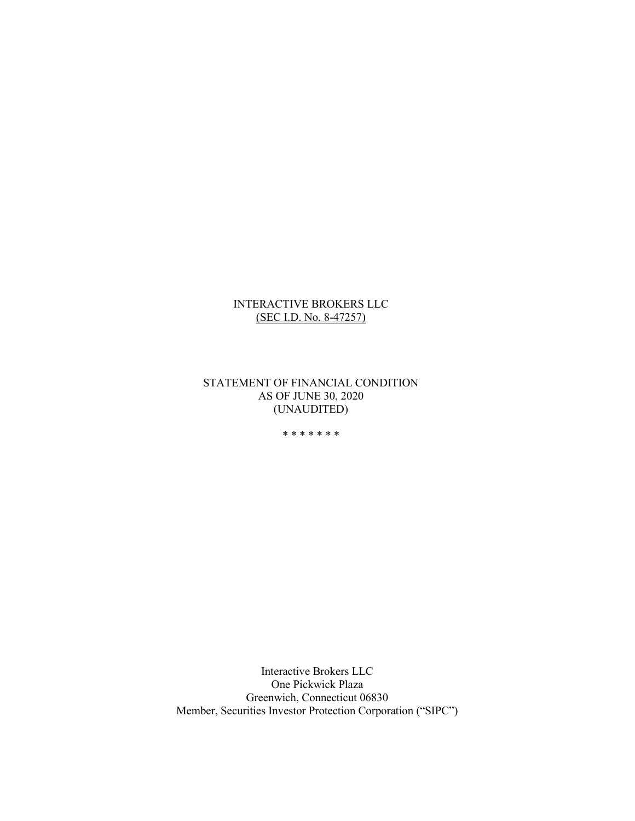# INTERACTIVE BROKERS LLC (SEC I.D. No. 8-47257)

STATEMENT OF FINANCIAL CONDITION AS OF JUNE 30, 2020 (UNAUDITED)

\* \* \* \* \* \* \*

Interactive Brokers LLC One Pickwick Plaza Greenwich, Connecticut 06830 Member, Securities Investor Protection Corporation ("SIPC")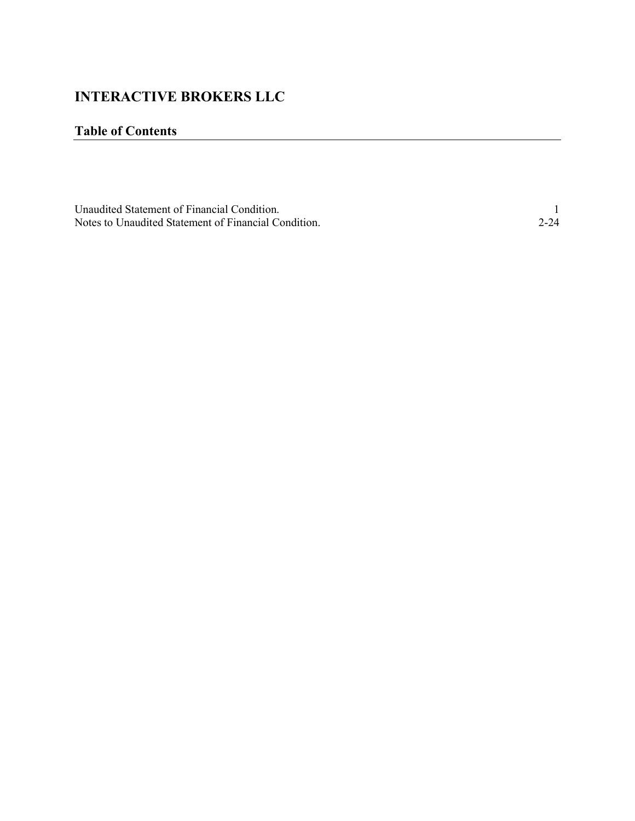# INTERACTIVE BROKERS LLC

# Table of Contents

| Unaudited Statement of Financial Condition.          |  |
|------------------------------------------------------|--|
| Notes to Unaudited Statement of Financial Condition. |  |

<u> 1980 - Johann Barn, mars an t-Amerikaansk politiker (</u>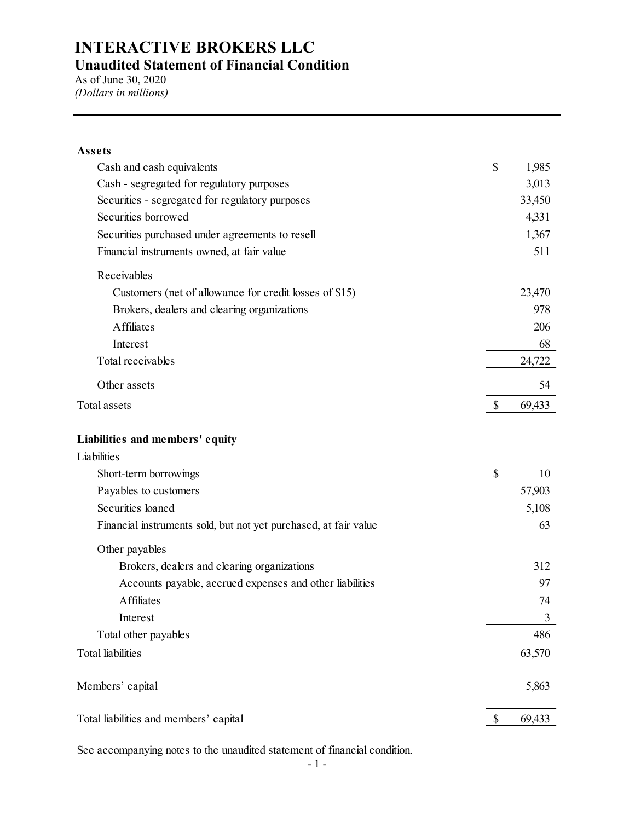| <b>INTERACTIVE BROKERS LLC</b>                                         |               |                 |
|------------------------------------------------------------------------|---------------|-----------------|
| <b>Unaudited Statement of Financial Condition</b>                      |               |                 |
| As of June 30, 2020                                                    |               |                 |
| (Dollars in millions)                                                  |               |                 |
|                                                                        |               |                 |
|                                                                        |               |                 |
| Assets                                                                 |               |                 |
| Cash and cash equivalents                                              | $\mathcal{S}$ | 1,985           |
| Cash - segregated for regulatory purposes                              |               | 3,013           |
| Securities - segregated for regulatory purposes<br>Securities borrowed |               | 33,450<br>4,331 |
| Securities purchased under agreements to resell                        |               | 1,367           |
| Financial instruments owned, at fair value                             |               | 511             |
|                                                                        |               |                 |
| Receivables                                                            |               |                 |
| Customers (net of allowance for credit losses of \$15)                 |               | 23,470          |
| Brokers, dealers and clearing organizations                            |               | 978             |
| Affiliates                                                             |               | 206             |
| Interest                                                               |               | 68              |
| Total receivables                                                      |               | 24,722          |
| Other assets                                                           |               | 54              |
| Total assets                                                           | S.            | 69,433          |
| Liabilities and members' equity                                        |               |                 |
| Liabilities                                                            |               |                 |
| Short-term borrowings                                                  | $\mathbb S$   | 10              |
| Payables to customers                                                  |               | 57,903          |
| Securities loaned                                                      |               | 5,108           |
| Financial instruments sold, but not yet purchased, at fair value       |               | 63              |
| Other payables                                                         |               |                 |
| Brokers, dealers and clearing organizations                            |               | 312             |
| Accounts payable, accrued expenses and other liabilities               |               | 97              |
| Affiliates                                                             |               | 74              |
| Interest                                                               |               | 3               |
| Total other payables                                                   |               | 486             |
| <b>Total</b> liabilities                                               |               | 63,570          |
| Members' capital                                                       |               | 5,863           |
|                                                                        |               | 69,433          |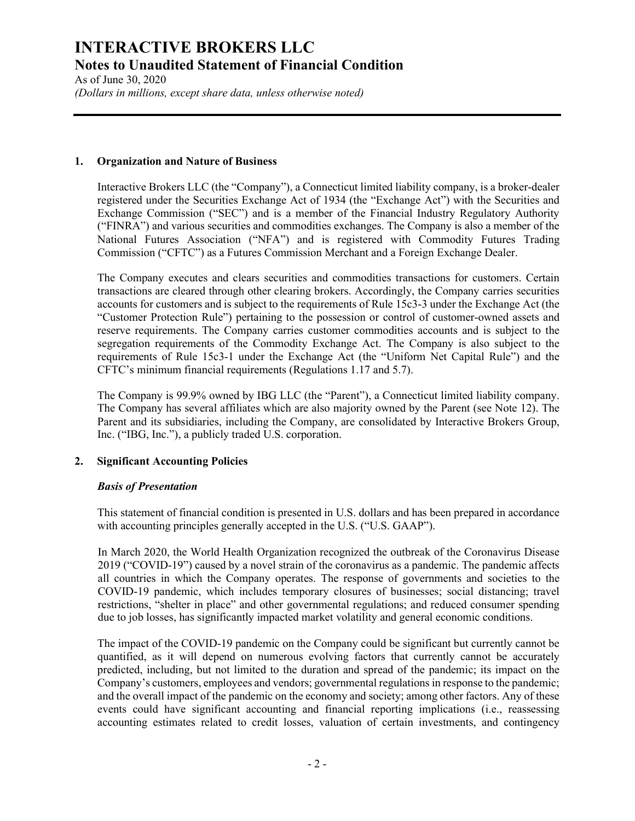As of June 30, 2020 (Dollars in millions, except share data, unless otherwise noted)

#### 1. Organization and Nature of Business

Interactive Brokers LLC (the "Company"), a Connecticut limited liability company, is a broker-dealer registered under the Securities Exchange Act of 1934 (the "Exchange Act") with the Securities and Exchange Commission ("SEC") and is a member of the Financial Industry Regulatory Authority ("FINRA") and various securities and commodities exchanges. The Company is also a member of the National Futures Association ("NFA") and is registered with Commodity Futures Trading Commission ("CFTC") as a Futures Commission Merchant and a Foreign Exchange Dealer.

The Company executes and clears securities and commodities transactions for customers. Certain transactions are cleared through other clearing brokers. Accordingly, the Company carries securities accounts for customers and is subject to the requirements of Rule 15c3-3 under the Exchange Act (the "Customer Protection Rule") pertaining to the possession or control of customer-owned assets and reserve requirements. The Company carries customer commodities accounts and is subject to the segregation requirements of the Commodity Exchange Act. The Company is also subject to the requirements of Rule 15c3-1 under the Exchange Act (the "Uniform Net Capital Rule") and the CFTC's minimum financial requirements (Regulations 1.17 and 5.7).

The Company is 99.9% owned by IBG LLC (the "Parent"), a Connecticut limited liability company. The Company has several affiliates which are also majority owned by the Parent (see Note 12). The Parent and its subsidiaries, including the Company, are consolidated by Interactive Brokers Group, Inc. ("IBG, Inc."), a publicly traded U.S. corporation.

### 2. Significant Accounting Policies

### Basis of Presentation

This statement of financial condition is presented in U.S. dollars and has been prepared in accordance with accounting principles generally accepted in the U.S. ("U.S. GAAP").

In March 2020, the World Health Organization recognized the outbreak of the Coronavirus Disease 2019 ("COVID-19") caused by a novel strain of the coronavirus as a pandemic. The pandemic affects all countries in which the Company operates. The response of governments and societies to the COVID-19 pandemic, which includes temporary closures of businesses; social distancing; travel restrictions, "shelter in place" and other governmental regulations; and reduced consumer spending due to job losses, has significantly impacted market volatility and general economic conditions.

The impact of the COVID-19 pandemic on the Company could be significant but currently cannot be quantified, as it will depend on numerous evolving factors that currently cannot be accurately predicted, including, but not limited to the duration and spread of the pandemic; its impact on the Company's customers, employees and vendors; governmental regulations in response to the pandemic; and the overall impact of the pandemic on the economy and society; among other factors. Any of these events could have significant accounting and financial reporting implications (i.e., reassessing accounting estimates related to credit losses, valuation of certain investments, and contingency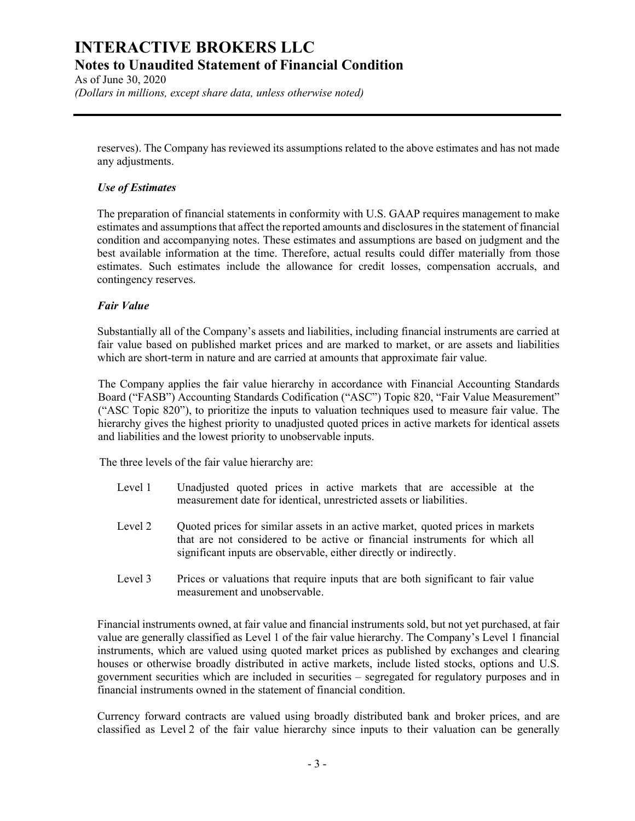As of June 30, 2020 (Dollars in millions, except share data, unless otherwise noted)

reserves). The Company has reviewed its assumptions related to the above estimates and has not made any adjustments.

### Use of Estimates

The preparation of financial statements in conformity with U.S. GAAP requires management to make estimates and assumptions that affect the reported amounts and disclosures in the statement of financial condition and accompanying notes. These estimates and assumptions are based on judgment and the best available information at the time. Therefore, actual results could differ materially from those estimates. Such estimates include the allowance for credit losses, compensation accruals, and contingency reserves.

### Fair Value

Substantially all of the Company's assets and liabilities, including financial instruments are carried at fair value based on published market prices and are marked to market, or are assets and liabilities which are short-term in nature and are carried at amounts that approximate fair value.

The Company applies the fair value hierarchy in accordance with Financial Accounting Standards Board ("FASB") Accounting Standards Codification ("ASC") Topic 820, "Fair Value Measurement" ("ASC Topic 820"), to prioritize the inputs to valuation techniques used to measure fair value. The hierarchy gives the highest priority to unadjusted quoted prices in active markets for identical assets and liabilities and the lowest priority to unobservable inputs.

The three levels of the fair value hierarchy are:

- Level 1 Unadjusted quoted prices in active markets that are accessible at the measurement date for identical, unrestricted assets or liabilities.
- Level 2 Quoted prices for similar assets in an active market, quoted prices in markets that are not considered to be active or financial instruments for which all significant inputs are observable, either directly or indirectly.
- Level 3 Prices or valuations that require inputs that are both significant to fair value measurement and unobservable.

Financial instruments owned, at fair value and financial instruments sold, but not yet purchased, at fair value are generally classified as Level 1 of the fair value hierarchy. The Company's Level 1 financial instruments, which are valued using quoted market prices as published by exchanges and clearing houses or otherwise broadly distributed in active markets, include listed stocks, options and U.S. government securities which are included in securities – segregated for regulatory purposes and in financial instruments owned in the statement of financial condition.

Currency forward contracts are valued using broadly distributed bank and broker prices, and are classified as Level 2 of the fair value hierarchy since inputs to their valuation can be generally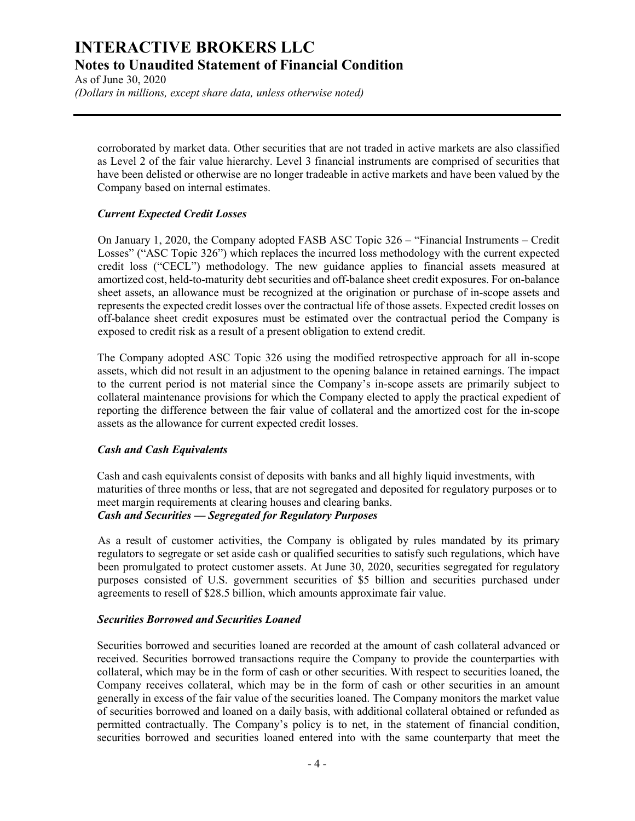As of June 30, 2020 (Dollars in millions, except share data, unless otherwise noted)

corroborated by market data. Other securities that are not traded in active markets are also classified as Level 2 of the fair value hierarchy. Level 3 financial instruments are comprised of securities that have been delisted or otherwise are no longer tradeable in active markets and have been valued by the Company based on internal estimates.

### Current Expected Credit Losses

On January 1, 2020, the Company adopted FASB ASC Topic 326 – "Financial Instruments – Credit Losses" ("ASC Topic 326") which replaces the incurred loss methodology with the current expected credit loss ("CECL") methodology. The new guidance applies to financial assets measured at amortized cost, held-to-maturity debt securities and off-balance sheet credit exposures. For on-balance sheet assets, an allowance must be recognized at the origination or purchase of in-scope assets and represents the expected credit losses over the contractual life of those assets. Expected credit losses on off-balance sheet credit exposures must be estimated over the contractual period the Company is exposed to credit risk as a result of a present obligation to extend credit.

The Company adopted ASC Topic 326 using the modified retrospective approach for all in-scope assets, which did not result in an adjustment to the opening balance in retained earnings. The impact to the current period is not material since the Company's in-scope assets are primarily subject to collateral maintenance provisions for which the Company elected to apply the practical expedient of reporting the difference between the fair value of collateral and the amortized cost for the in-scope assets as the allowance for current expected credit losses.

### Cash and Cash Equivalents

Cash and cash equivalents consist of deposits with banks and all highly liquid investments, with maturities of three months or less, that are not segregated and deposited for regulatory purposes or to meet margin requirements at clearing houses and clearing banks. Cash and Securities — Segregated for Regulatory Purposes

As a result of customer activities, the Company is obligated by rules mandated by its primary regulators to segregate or set aside cash or qualified securities to satisfy such regulations, which have been promulgated to protect customer assets. At June 30, 2020, securities segregated for regulatory purposes consisted of U.S. government securities of \$5 billion and securities purchased under agreements to resell of \$28.5 billion, which amounts approximate fair value.

### Securities Borrowed and Securities Loaned

Securities borrowed and securities loaned are recorded at the amount of cash collateral advanced or received. Securities borrowed transactions require the Company to provide the counterparties with collateral, which may be in the form of cash or other securities. With respect to securities loaned, the Company receives collateral, which may be in the form of cash or other securities in an amount generally in excess of the fair value of the securities loaned. The Company monitors the market value of securities borrowed and loaned on a daily basis, with additional collateral obtained or refunded as permitted contractually. The Company's policy is to net, in the statement of financial condition, securities borrowed and securities loaned entered into with the same counterparty that meet the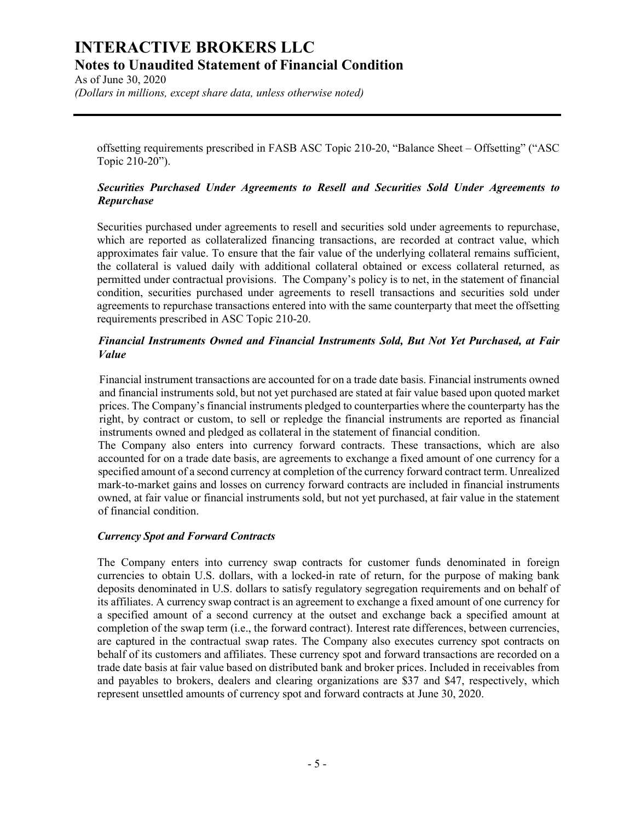As of June 30, 2020 (Dollars in millions, except share data, unless otherwise noted)

offsetting requirements prescribed in FASB ASC Topic 210-20, "Balance Sheet – Offsetting" ("ASC Topic 210-20").

### Securities Purchased Under Agreements to Resell and Securities Sold Under Agreements to Repurchase

Securities purchased under agreements to resell and securities sold under agreements to repurchase, which are reported as collateralized financing transactions, are recorded at contract value, which approximates fair value. To ensure that the fair value of the underlying collateral remains sufficient, the collateral is valued daily with additional collateral obtained or excess collateral returned, as permitted under contractual provisions. The Company's policy is to net, in the statement of financial condition, securities purchased under agreements to resell transactions and securities sold under agreements to repurchase transactions entered into with the same counterparty that meet the offsetting requirements prescribed in ASC Topic 210-20.

### Financial Instruments Owned and Financial Instruments Sold, But Not Yet Purchased, at Fair Value

Financial instrument transactions are accounted for on a trade date basis. Financial instruments owned and financial instruments sold, but not yet purchased are stated at fair value based upon quoted market prices. The Company's financial instruments pledged to counterparties where the counterparty has the right, by contract or custom, to sell or repledge the financial instruments are reported as financial instruments owned and pledged as collateral in the statement of financial condition.

The Company also enters into currency forward contracts. These transactions, which are also accounted for on a trade date basis, are agreements to exchange a fixed amount of one currency for a specified amount of a second currency at completion of the currency forward contract term. Unrealized mark-to-market gains and losses on currency forward contracts are included in financial instruments owned, at fair value or financial instruments sold, but not yet purchased, at fair value in the statement of financial condition.

### Currency Spot and Forward Contracts

The Company enters into currency swap contracts for customer funds denominated in foreign currencies to obtain U.S. dollars, with a locked-in rate of return, for the purpose of making bank deposits denominated in U.S. dollars to satisfy regulatory segregation requirements and on behalf of its affiliates. A currency swap contract is an agreement to exchange a fixed amount of one currency for a specified amount of a second currency at the outset and exchange back a specified amount at completion of the swap term (i.e., the forward contract). Interest rate differences, between currencies, are captured in the contractual swap rates. The Company also executes currency spot contracts on behalf of its customers and affiliates. These currency spot and forward transactions are recorded on a trade date basis at fair value based on distributed bank and broker prices. Included in receivables from and payables to brokers, dealers and clearing organizations are \$37 and \$47, respectively, which represent unsettled amounts of currency spot and forward contracts at June 30, 2020.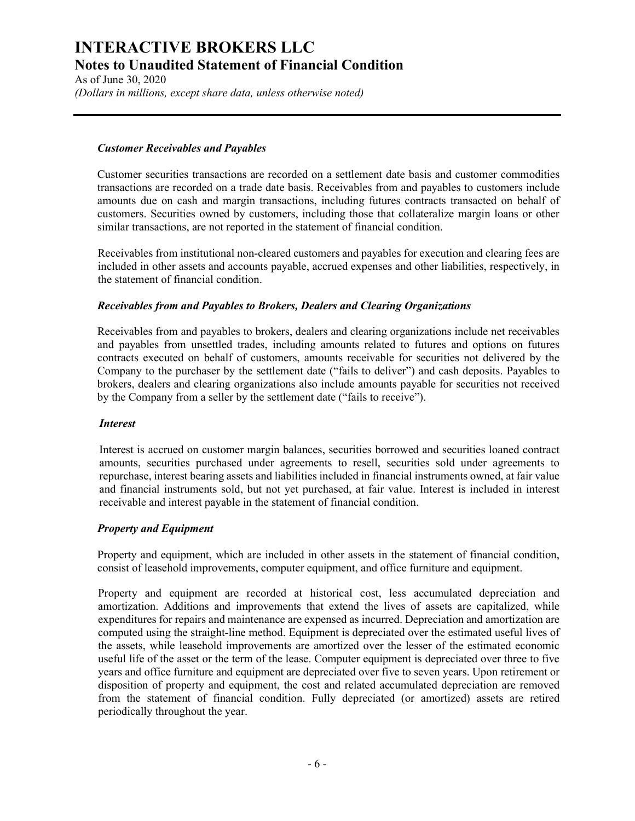As of June 30, 2020 (Dollars in millions, except share data, unless otherwise noted)

### Customer Receivables and Payables

Customer securities transactions are recorded on a settlement date basis and customer commodities transactions are recorded on a trade date basis. Receivables from and payables to customers include amounts due on cash and margin transactions, including futures contracts transacted on behalf of customers. Securities owned by customers, including those that collateralize margin loans or other similar transactions, are not reported in the statement of financial condition.

Receivables from institutional non-cleared customers and payables for execution and clearing fees are included in other assets and accounts payable, accrued expenses and other liabilities, respectively, in the statement of financial condition.

### Receivables from and Payables to Brokers, Dealers and Clearing Organizations

Receivables from and payables to brokers, dealers and clearing organizations include net receivables and payables from unsettled trades, including amounts related to futures and options on futures contracts executed on behalf of customers, amounts receivable for securities not delivered by the Company to the purchaser by the settlement date ("fails to deliver") and cash deposits. Payables to brokers, dealers and clearing organizations also include amounts payable for securities not received by the Company from a seller by the settlement date ("fails to receive").

### Interest

Interest is accrued on customer margin balances, securities borrowed and securities loaned contract amounts, securities purchased under agreements to resell, securities sold under agreements to repurchase, interest bearing assets and liabilities included in financial instruments owned, at fair value and financial instruments sold, but not yet purchased, at fair value. Interest is included in interest receivable and interest payable in the statement of financial condition.

# Property and Equipment

Property and equipment, which are included in other assets in the statement of financial condition, consist of leasehold improvements, computer equipment, and office furniture and equipment.

Property and equipment are recorded at historical cost, less accumulated depreciation and amortization. Additions and improvements that extend the lives of assets are capitalized, while expenditures for repairs and maintenance are expensed as incurred. Depreciation and amortization are computed using the straight-line method. Equipment is depreciated over the estimated useful lives of the assets, while leasehold improvements are amortized over the lesser of the estimated economic useful life of the asset or the term of the lease. Computer equipment is depreciated over three to five years and office furniture and equipment are depreciated over five to seven years. Upon retirement or disposition of property and equipment, the cost and related accumulated depreciation are removed from the statement of financial condition. Fully depreciated (or amortized) assets are retired periodically throughout the year.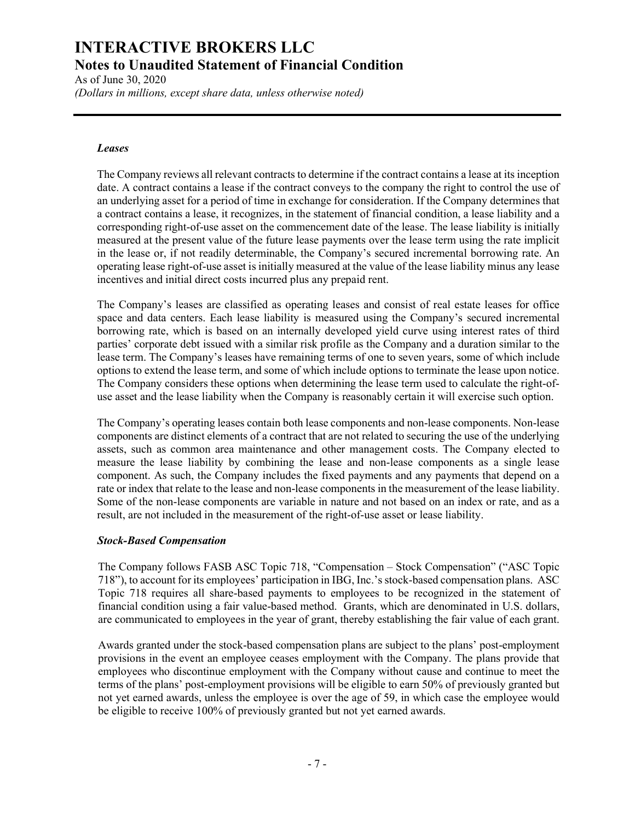As of June 30, 2020 (Dollars in millions, except share data, unless otherwise noted)

#### Leases

The Company reviews all relevant contracts to determine if the contract contains a lease at its inception date. A contract contains a lease if the contract conveys to the company the right to control the use of an underlying asset for a period of time in exchange for consideration. If the Company determines that a contract contains a lease, it recognizes, in the statement of financial condition, a lease liability and a corresponding right-of-use asset on the commencement date of the lease. The lease liability is initially measured at the present value of the future lease payments over the lease term using the rate implicit in the lease or, if not readily determinable, the Company's secured incremental borrowing rate. An operating lease right-of-use asset is initially measured at the value of the lease liability minus any lease incentives and initial direct costs incurred plus any prepaid rent.

The Company's leases are classified as operating leases and consist of real estate leases for office space and data centers. Each lease liability is measured using the Company's secured incremental borrowing rate, which is based on an internally developed yield curve using interest rates of third parties' corporate debt issued with a similar risk profile as the Company and a duration similar to the lease term. The Company's leases have remaining terms of one to seven years, some of which include options to extend the lease term, and some of which include options to terminate the lease upon notice. The Company considers these options when determining the lease term used to calculate the right-ofuse asset and the lease liability when the Company is reasonably certain it will exercise such option.

The Company's operating leases contain both lease components and non-lease components. Non-lease components are distinct elements of a contract that are not related to securing the use of the underlying assets, such as common area maintenance and other management costs. The Company elected to measure the lease liability by combining the lease and non-lease components as a single lease component. As such, the Company includes the fixed payments and any payments that depend on a rate or index that relate to the lease and non-lease components in the measurement of the lease liability. Some of the non-lease components are variable in nature and not based on an index or rate, and as a result, are not included in the measurement of the right-of-use asset or lease liability.

### Stock-Based Compensation

The Company follows FASB ASC Topic 718, "Compensation – Stock Compensation" ("ASC Topic 718"), to account for its employees' participation in IBG, Inc.'s stock-based compensation plans. ASC Topic 718 requires all share-based payments to employees to be recognized in the statement of financial condition using a fair value-based method. Grants, which are denominated in U.S. dollars, are communicated to employees in the year of grant, thereby establishing the fair value of each grant.

Awards granted under the stock-based compensation plans are subject to the plans' post-employment provisions in the event an employee ceases employment with the Company. The plans provide that employees who discontinue employment with the Company without cause and continue to meet the terms of the plans' post-employment provisions will be eligible to earn 50% of previously granted but not yet earned awards, unless the employee is over the age of 59, in which case the employee would be eligible to receive 100% of previously granted but not yet earned awards.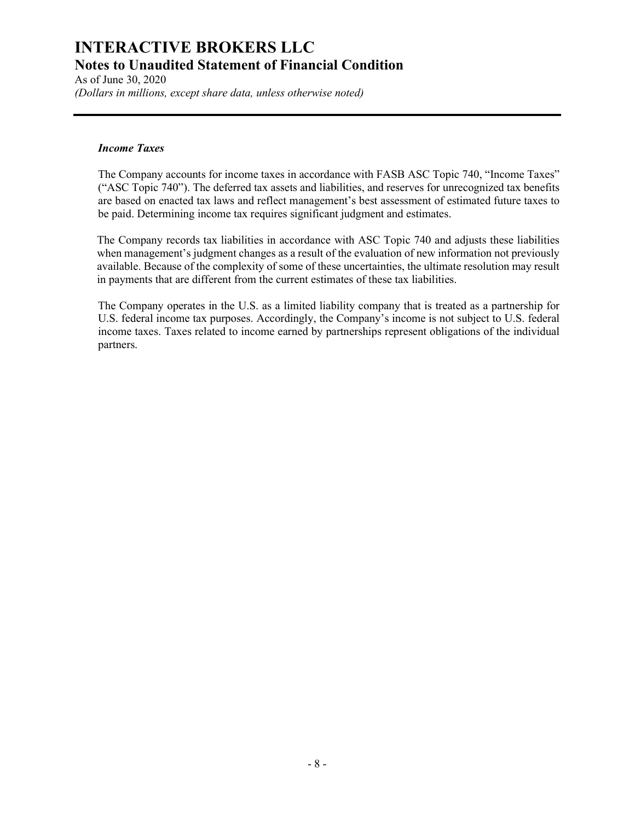As of June 30, 2020 (Dollars in millions, except share data, unless otherwise noted)

### Income Taxes

The Company accounts for income taxes in accordance with FASB ASC Topic 740, "Income Taxes" ("ASC Topic 740"). The deferred tax assets and liabilities, and reserves for unrecognized tax benefits are based on enacted tax laws and reflect management's best assessment of estimated future taxes to be paid. Determining income tax requires significant judgment and estimates.

The Company records tax liabilities in accordance with ASC Topic 740 and adjusts these liabilities when management's judgment changes as a result of the evaluation of new information not previously available. Because of the complexity of some of these uncertainties, the ultimate resolution may result in payments that are different from the current estimates of these tax liabilities.

The Company operates in the U.S. as a limited liability company that is treated as a partnership for U.S. federal income tax purposes. Accordingly, the Company's income is not subject to U.S. federal income taxes. Taxes related to income earned by partnerships represent obligations of the individual partners.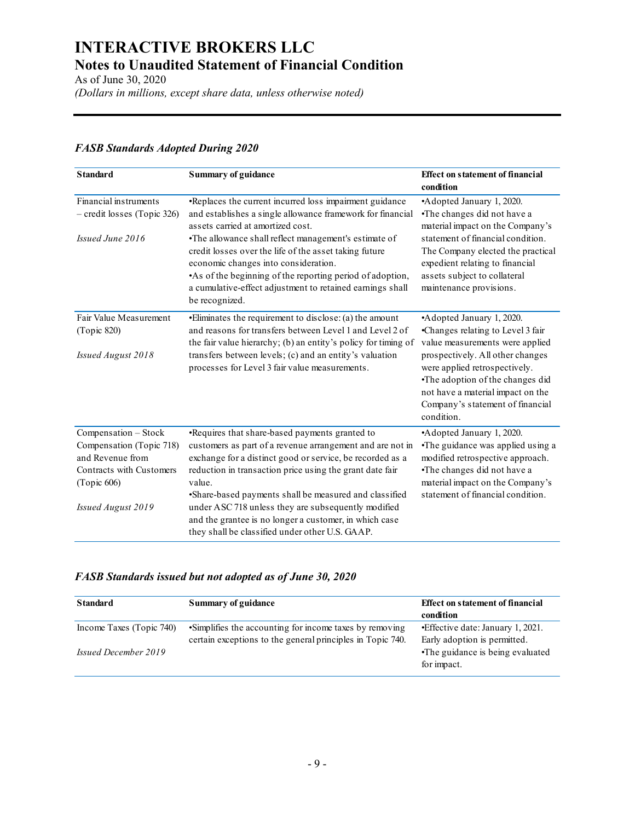| As of June 30, 2020                                                                                                                   | <b>INTERACTIVE BROKERS LLC</b><br><b>Notes to Unaudited Statement of Financial Condition</b><br>(Dollars in millions, except share data, unless otherwise noted)                                                                                                                                                                                                                                                                                                             |                                                                                                                                                                                                                                                                                                   |
|---------------------------------------------------------------------------------------------------------------------------------------|------------------------------------------------------------------------------------------------------------------------------------------------------------------------------------------------------------------------------------------------------------------------------------------------------------------------------------------------------------------------------------------------------------------------------------------------------------------------------|---------------------------------------------------------------------------------------------------------------------------------------------------------------------------------------------------------------------------------------------------------------------------------------------------|
| <b>FASB Standards Adopted During 2020</b>                                                                                             |                                                                                                                                                                                                                                                                                                                                                                                                                                                                              |                                                                                                                                                                                                                                                                                                   |
| <b>Standard</b>                                                                                                                       | <b>Summary of guidance</b>                                                                                                                                                                                                                                                                                                                                                                                                                                                   | <b>Effect on statement of financial</b><br>condition                                                                                                                                                                                                                                              |
| Financial instruments<br>- credit losses (Topic 326)<br>Issued June 2016                                                              | •Replaces the current incurred loss impairment guidance<br>and establishes a single allowance framework for financial<br>assets carried at amortized cost.<br>•The allowance shall reflect management's estimate of<br>credit losses over the life of the asset taking future<br>economic changes into consideration.<br>As of the beginning of the reporting period of adoption,<br>a cumulative-effect adjustment to retained earnings shall<br>be recognized.             | •Adopted January 1, 2020.<br>•The changes did not have a<br>material impact on the Company's<br>statement of financial condition.<br>The Company elected the practical<br>expedient relating to financial<br>assets subject to collateral<br>maintenance provisions.                              |
| Fair Value Measurement<br>(Topic 820)<br>Issued August 2018                                                                           | •Eliminates the requirement to disclose: (a) the amount<br>and reasons for transfers between Level 1 and Level 2 of<br>the fair value hierarchy; (b) an entity's policy for timing of<br>transfers between levels; (c) and an entity's valuation<br>processes for Level 3 fair value measurements.                                                                                                                                                                           | •Adopted January 1, 2020.<br>•Changes relating to Level 3 fair<br>value measurements were applied<br>prospectively. All other changes<br>were applied retrospectively.<br>•The adoption of the changes did<br>not have a material impact on the<br>Company's statement of financial<br>condition. |
| Compensation - Stock<br>Compensation (Topic 718)<br>and Revenue from<br>Contracts with Customers<br>(Topic 606)<br>Issued August 2019 | .Requires that share-based payments granted to<br>customers as part of a revenue arrangement and are not in<br>exchange for a distinct good or service, be recorded as a<br>reduction in transaction price using the grant date fair<br>value.<br>•Share-based payments shall be measured and classified<br>under ASC 718 unless they are subsequently modified<br>and the grantee is no longer a customer, in which case<br>they shall be classified under other U.S. GAAP. | •Adopted January 1, 2020.<br>•The guidance was applied using a<br>modified retrospective approach.<br>•The changes did not have a<br>material impact on the Company's<br>statement of financial condition.                                                                                        |
| <b>Standard</b>                                                                                                                       | <b>FASB Standards issued but not adopted as of June 30, 2020</b><br><b>Summary of guidance</b>                                                                                                                                                                                                                                                                                                                                                                               | <b>Effect on statement of financial</b><br>condition                                                                                                                                                                                                                                              |
|                                                                                                                                       | ·Simplifies the accounting for income taxes by removing                                                                                                                                                                                                                                                                                                                                                                                                                      | • Effective date: January 1, 2021.                                                                                                                                                                                                                                                                |

## FASB Standards Adopted During 2020

## FASB Standards issued but not adopted as of June 30, 2020

| Summary of guidance                                        | <b>Effect on statement of financial</b> |
|------------------------------------------------------------|-----------------------------------------|
|                                                            | condition                               |
| •Simplifies the accounting for income taxes by removing    | • Effective date: January 1, 2021.      |
| certain exceptions to the general principles in Topic 740. | Early adoption is permitted.            |
|                                                            | •The guidance is being evaluated        |
|                                                            | for impact.                             |
|                                                            |                                         |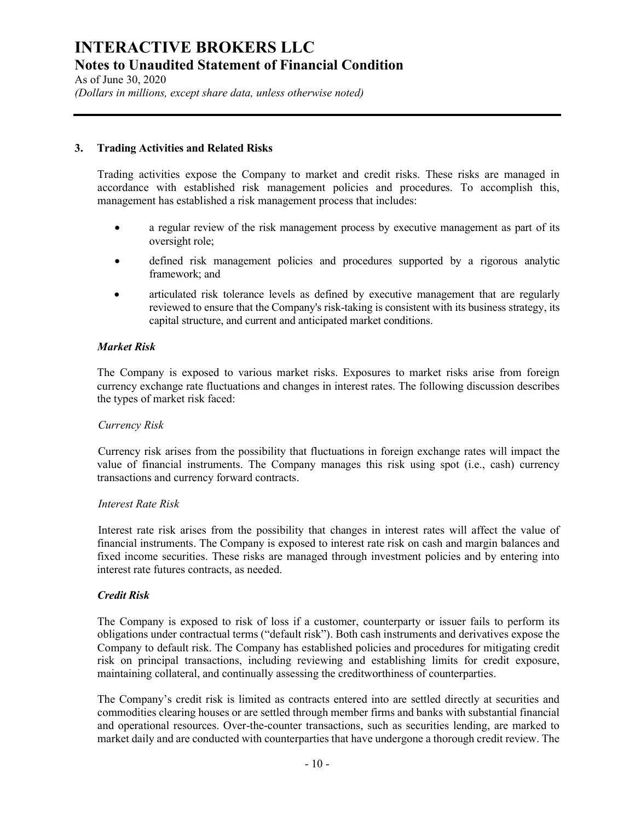As of June 30, 2020 (Dollars in millions, except share data, unless otherwise noted)

### 3. Trading Activities and Related Risks

Trading activities expose the Company to market and credit risks. These risks are managed in accordance with established risk management policies and procedures. To accomplish this, management has established a risk management process that includes:

- a regular review of the risk management process by executive management as part of its oversight role;
- defined risk management policies and procedures supported by a rigorous analytic framework; and
- articulated risk tolerance levels as defined by executive management that are regularly reviewed to ensure that the Company's risk-taking is consistent with its business strategy, its capital structure, and current and anticipated market conditions.

### Market Risk

The Company is exposed to various market risks. Exposures to market risks arise from foreign currency exchange rate fluctuations and changes in interest rates. The following discussion describes the types of market risk faced:

### Currency Risk

 Currency risk arises from the possibility that fluctuations in foreign exchange rates will impact the value of financial instruments. The Company manages this risk using spot (i.e., cash) currency transactions and currency forward contracts.

### Interest Rate Risk

 Interest rate risk arises from the possibility that changes in interest rates will affect the value of financial instruments. The Company is exposed to interest rate risk on cash and margin balances and fixed income securities. These risks are managed through investment policies and by entering into interest rate futures contracts, as needed.

### Credit Risk

The Company is exposed to risk of loss if a customer, counterparty or issuer fails to perform its obligations under contractual terms ("default risk"). Both cash instruments and derivatives expose the Company to default risk. The Company has established policies and procedures for mitigating credit risk on principal transactions, including reviewing and establishing limits for credit exposure, maintaining collateral, and continually assessing the creditworthiness of counterparties.

The Company's credit risk is limited as contracts entered into are settled directly at securities and commodities clearing houses or are settled through member firms and banks with substantial financial and operational resources. Over-the-counter transactions, such as securities lending, are marked to market daily and are conducted with counterparties that have undergone a thorough credit review. The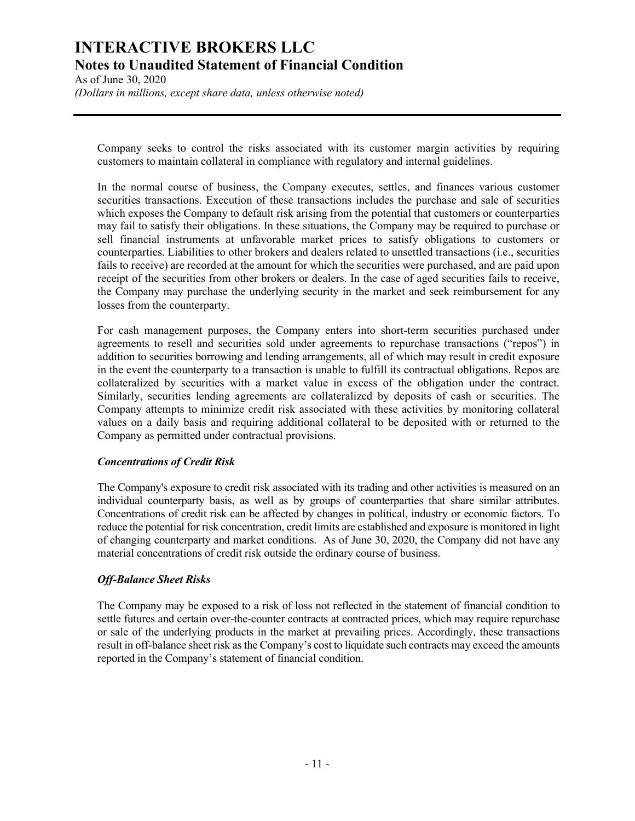As of June 30, 2020 (Dollars in millions, except share data, unless otherwise noted)

Company seeks to control the risks associated with its customer margin activities by requiring customers to maintain collateral in compliance with regulatory and internal guidelines.

In the normal course of business, the Company executes, settles, and finances various customer securities transactions. Execution of these transactions includes the purchase and sale of securities which exposes the Company to default risk arising from the potential that customers or counterparties may fail to satisfy their obligations. In these situations, the Company may be required to purchase or sell financial instruments at unfavorable market prices to satisfy obligations to customers or counterparties. Liabilities to other brokers and dealers related to unsettled transactions (i.e., securities fails to receive) are recorded at the amount for which the securities were purchased, and are paid upon receipt of the securities from other brokers or dealers. In the case of aged securities fails to receive, the Company may purchase the underlying security in the market and seek reimbursement for any losses from the counterparty.

For cash management purposes, the Company enters into short-term securities purchased under agreements to resell and securities sold under agreements to repurchase transactions ("repos") in addition to securities borrowing and lending arrangements, all of which may result in credit exposure in the event the counterparty to a transaction is unable to fulfill its contractual obligations. Repos are collateralized by securities with a market value in excess of the obligation under the contract. Similarly, securities lending agreements are collateralized by deposits of cash or securities. The Company attempts to minimize credit risk associated with these activities by monitoring collateral values on a daily basis and requiring additional collateral to be deposited with or returned to the Company as permitted under contractual provisions.

### Concentrations of Credit Risk

The Company's exposure to credit risk associated with its trading and other activities is measured on an individual counterparty basis, as well as by groups of counterparties that share similar attributes. Concentrations of credit risk can be affected by changes in political, industry or economic factors. To reduce the potential for risk concentration, credit limits are established and exposure is monitored in light of changing counterparty and market conditions. As of June 30, 2020, the Company did not have any material concentrations of credit risk outside the ordinary course of business.

# Off-Balance Sheet Risks

The Company may be exposed to a risk of loss not reflected in the statement of financial condition to settle futures and certain over-the-counter contracts at contracted prices, which may require repurchase or sale of the underlying products in the market at prevailing prices. Accordingly, these transactions result in off-balance sheet risk as the Company's cost to liquidate such contracts may exceed the amounts reported in the Company's statement of financial condition.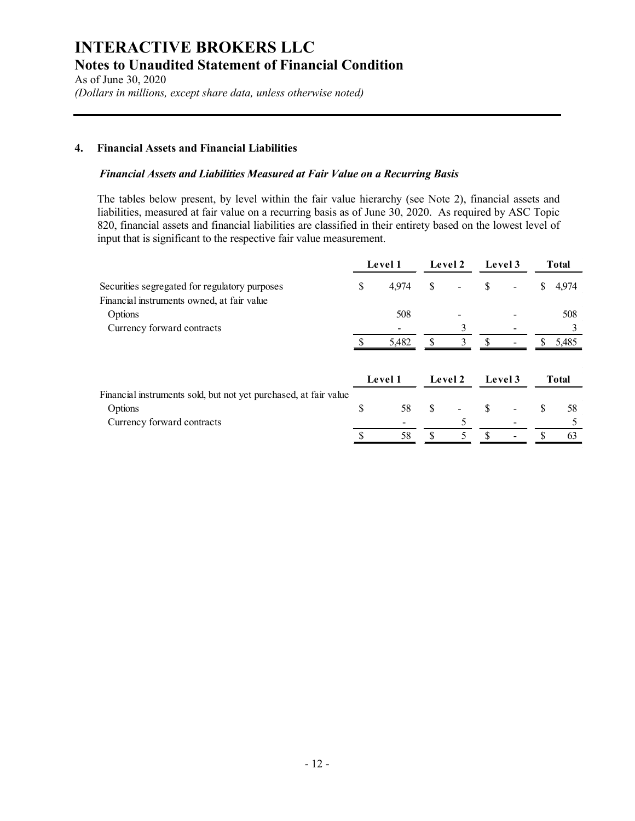As of June 30, 2020 (Dollars in millions, except share data, unless otherwise noted)

# 4. Financial Assets and Financial Liabilities

### Financial Assets and Liabilities Measured at Fair Value on a Recurring Basis

| es to Unaudited Statement of Financial Condition<br>f June 30, 2020<br>lars in millions, except share data, unless otherwise noted)                                                                                                                                                                                                                                                                     |              |         |               |                |               |              |          |
|---------------------------------------------------------------------------------------------------------------------------------------------------------------------------------------------------------------------------------------------------------------------------------------------------------------------------------------------------------------------------------------------------------|--------------|---------|---------------|----------------|---------------|--------------|----------|
| <b>Financial Assets and Financial Liabilities</b>                                                                                                                                                                                                                                                                                                                                                       |              |         |               |                |               |              |          |
| Financial Assets and Liabilities Measured at Fair Value on a Recurring Basis                                                                                                                                                                                                                                                                                                                            |              |         |               |                |               |              |          |
| The tables below present, by level within the fair value hierarchy (see Note 2), financial assets and<br>liabilities, measured at fair value on a recurring basis as of June 30, 2020. As required by ASC Topic<br>820, financial assets and financial liabilities are classified in their entirety based on the lowest level of<br>input that is significant to the respective fair value measurement. |              | Level 1 |               | Level 2        | Level 3       | <b>Total</b> |          |
| Securities segregated for regulatory purposes<br>Financial instruments owned, at fair value                                                                                                                                                                                                                                                                                                             | \$           | 4,974   | S             |                |               | \$           | 4,974    |
|                                                                                                                                                                                                                                                                                                                                                                                                         |              | 508     |               |                |               |              | 508<br>3 |
| Options                                                                                                                                                                                                                                                                                                                                                                                                 |              |         | $\mathbb{S}$  |                | <sup>\$</sup> |              | \$5,485  |
| Currency forward contracts                                                                                                                                                                                                                                                                                                                                                                              | <sup>S</sup> | 5,482   |               | $\overline{3}$ |               |              |          |
|                                                                                                                                                                                                                                                                                                                                                                                                         |              | Level 1 |               | Level 2        | Level 3       | <b>Total</b> |          |
| Financial instruments sold, but not yet purchased, at fair value<br>Options<br>Currency forward contracts                                                                                                                                                                                                                                                                                               | \$           | 58      | <sup>\$</sup> | 5              | \$            | S            | 58<br>5  |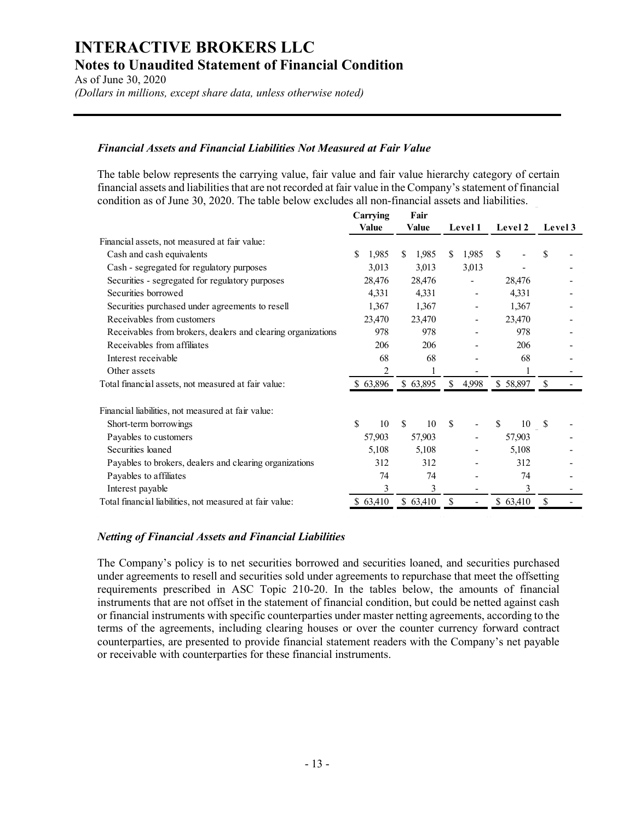As of June 30, 2020 (Dollars in millions, except share data, unless otherwise noted)

### Financial Assets and Financial Liabilities Not Measured at Fair Value

| tes to Unaudited Statement of Financial Condition<br>of June 30, 2020                                                                                                                                                                                                                                                       |                |                       |                |                   |                 |
|-----------------------------------------------------------------------------------------------------------------------------------------------------------------------------------------------------------------------------------------------------------------------------------------------------------------------------|----------------|-----------------------|----------------|-------------------|-----------------|
| llars in millions, except share data, unless otherwise noted)                                                                                                                                                                                                                                                               |                |                       |                |                   |                 |
| <b>Financial Assets and Financial Liabilities Not Measured at Fair Value</b>                                                                                                                                                                                                                                                |                |                       |                |                   |                 |
| The table below represents the carrying value, fair value and fair value hierarchy category of certain<br>financial assets and liabilities that are not recorded at fair value in the Company's statement of financial<br>condition as of June 30, 2020. The table below excludes all non-financial assets and liabilities. | Carrying       | Fair                  |                |                   |                 |
|                                                                                                                                                                                                                                                                                                                             | Value          | Value                 | <b>Level 1</b> | Level 2 Level 3   |                 |
| Financial assets, not measured at fair value:                                                                                                                                                                                                                                                                               |                |                       |                |                   |                 |
| Cash and cash equivalents                                                                                                                                                                                                                                                                                                   | 1,985          | <sup>S</sup><br>1,985 | 1,985<br>-S    | -S                |                 |
| Cash - segregated for regulatory purposes                                                                                                                                                                                                                                                                                   | 3,013          | 3,013                 | 3,013          |                   |                 |
| Securities - segregated for regulatory purposes                                                                                                                                                                                                                                                                             | 28,476         | 28,476                |                | 28,476            |                 |
| Securities borrowed                                                                                                                                                                                                                                                                                                         | 4,331          | 4,331                 |                | 4,331             |                 |
| Securities purchased under agreements to resell                                                                                                                                                                                                                                                                             | 1,367          | 1,367                 |                | 1,367             |                 |
| Receivables from customers                                                                                                                                                                                                                                                                                                  | 23,470         | 23,470                |                | 23,470            |                 |
| Receivables from brokers, dealers and clearing organizations                                                                                                                                                                                                                                                                | 978            | 978                   |                | 978               |                 |
| Receivables from affiliates                                                                                                                                                                                                                                                                                                 | 206            | 206                   |                | 206               |                 |
| Interest receivable                                                                                                                                                                                                                                                                                                         | 68             | 68                    |                | 68                |                 |
| Other assets                                                                                                                                                                                                                                                                                                                | $\overline{c}$ |                       |                |                   |                 |
| Total financial assets, not measured at fair value:                                                                                                                                                                                                                                                                         | \$63,896       | \$63,895              | \$4,998        | \$58,897          | <sup>S</sup>    |
| Financial liabilities, not measured at fair value:                                                                                                                                                                                                                                                                          |                |                       |                |                   |                 |
| Short-term borrowings                                                                                                                                                                                                                                                                                                       | \$             | 10S<br>10 \$          |                | $\mathbb S$<br>10 | -\$             |
| Payables to customers                                                                                                                                                                                                                                                                                                       | 57,903         | 57,903                |                | 57,903            |                 |
| Securities loaned                                                                                                                                                                                                                                                                                                           | 5,108          | 5,108                 |                | 5,108             |                 |
| Payables to brokers, dealers and clearing organizations                                                                                                                                                                                                                                                                     | 312            | 312                   |                | 312               |                 |
| Payables to affiliates                                                                                                                                                                                                                                                                                                      | 74             | 74                    |                | 74                |                 |
|                                                                                                                                                                                                                                                                                                                             | 3              | 3                     |                | 3                 |                 |
| Interest payable                                                                                                                                                                                                                                                                                                            |                |                       |                |                   | $$63,410$ \ $$$ |

### Netting of Financial Assets and Financial Liabilities

The Company's policy is to net securities borrowed and securities loaned, and securities purchased under agreements to resell and securities sold under agreements to repurchase that meet the offsetting requirements prescribed in ASC Topic 210-20. In the tables below, the amounts of financial instruments that are not offset in the statement of financial condition, but could be netted against cash or financial instruments with specific counterparties under master netting agreements, according to the terms of the agreements, including clearing houses or over the counter currency forward contract counterparties, are presented to provide financial statement readers with the Company's net payable or receivable with counterparties for these financial instruments.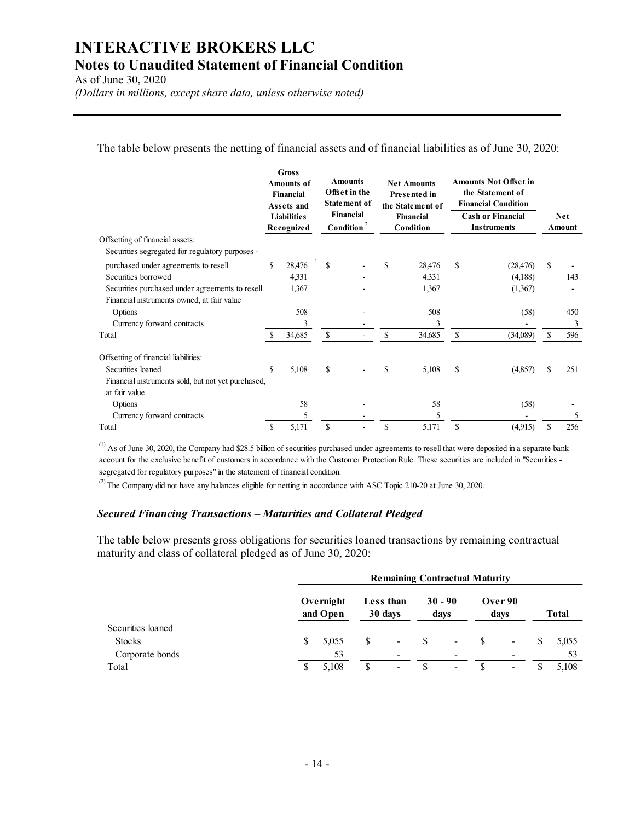As of June 30, 2020

(Dollars in millions, except share data, unless otherwise noted)

| <b>TERACTIVE BROKERS LLC</b><br>tes to Unaudited Statement of Financial Condition<br>f June 30, 2020<br>lars in millions, except share data, unless otherwise noted)<br>The table below presents the netting of financial assets and of financial liabilities as of June 30, 2020: |    |                                                                                    |               |                                                                     |               |                                                                            |               |                                                                                                            |     |            |
|------------------------------------------------------------------------------------------------------------------------------------------------------------------------------------------------------------------------------------------------------------------------------------|----|------------------------------------------------------------------------------------|---------------|---------------------------------------------------------------------|---------------|----------------------------------------------------------------------------|---------------|------------------------------------------------------------------------------------------------------------|-----|------------|
|                                                                                                                                                                                                                                                                                    |    | <b>Gross</b><br><b>Amounts of</b><br>Financial<br>Assets and<br><b>Liabilities</b> |               | <b>Amounts</b><br>Offset in the<br><b>Statement of</b><br>Financial |               | <b>Net Amounts</b><br>Presented in<br>the Statement of<br><b>Financial</b> |               | <b>Amounts Not Offset in</b><br>the Statement of<br><b>Financial Condition</b><br><b>Cash or Financial</b> |     | <b>Net</b> |
| Offsetting of financial assets:                                                                                                                                                                                                                                                    |    | Recognized                                                                         |               | Condition <sup>2</sup>                                              |               | Condition                                                                  |               | <b>Instruments</b>                                                                                         |     | Amount     |
| Securities segregated for regulatory purposes -                                                                                                                                                                                                                                    |    |                                                                                    |               |                                                                     |               |                                                                            |               |                                                                                                            |     |            |
| purchased under agreements to resell<br>Securities borrowed                                                                                                                                                                                                                        | \$ | 28,476<br>4,331                                                                    | <sup>\$</sup> |                                                                     | \$            | 28,476<br>4,331                                                            | <sup>\$</sup> | (28, 476)<br>(4,188)                                                                                       | \$  | 143        |
| Securities purchased under agreements to resell<br>Financial instruments owned, at fair value                                                                                                                                                                                      |    | 1,367                                                                              |               |                                                                     |               | 1,367                                                                      |               | (1,367)                                                                                                    |     |            |
| Options                                                                                                                                                                                                                                                                            |    | 508                                                                                |               |                                                                     |               | 508                                                                        |               | (58)                                                                                                       |     | 450        |
| Currency forward contracts<br>Total                                                                                                                                                                                                                                                |    | 3<br>34,685                                                                        | $\mathbf S$   |                                                                     | $\mathbf{s}$  | 3<br>34,685                                                                | $\mathbf S$   | (34,089)                                                                                                   | \$. | 3<br>596   |
|                                                                                                                                                                                                                                                                                    |    |                                                                                    |               |                                                                     |               |                                                                            |               |                                                                                                            |     |            |
| Offsetting of financial liabilities:<br>Securities loaned<br>Financial instruments sold, but not yet purchased,<br>at fair value                                                                                                                                                   | \$ | 5,108                                                                              | \$            |                                                                     | \$            | 5,108                                                                      | \$            | (4,857)                                                                                                    |     | 251        |
| Options                                                                                                                                                                                                                                                                            |    | 58                                                                                 |               |                                                                     |               | 58                                                                         |               | (58)                                                                                                       |     |            |
| Currency forward contracts                                                                                                                                                                                                                                                         |    | $\mathfrak s$                                                                      |               |                                                                     |               | $\sqrt{5}$                                                                 |               |                                                                                                            |     | 5          |
|                                                                                                                                                                                                                                                                                    | -S | 5,171                                                                              | S             |                                                                     | $\mathcal{S}$ | 5,171                                                                      | $\mathbb{S}$  | (4,915)                                                                                                    | -S  | 256        |

### Secured Financing Transactions – Maturities and Collateral Pledged

| Securities loaned                                                                                                                                                                                                                                                                                                                                               | <sup>\$</sup> | 5,108          | S                     | \$                   | 5,108             | - \$         |                                       |         | 251          |
|-----------------------------------------------------------------------------------------------------------------------------------------------------------------------------------------------------------------------------------------------------------------------------------------------------------------------------------------------------------------|---------------|----------------|-----------------------|----------------------|-------------------|--------------|---------------------------------------|---------|--------------|
| Financial instruments sold, but not yet purchased,                                                                                                                                                                                                                                                                                                              |               |                |                       |                      |                   |              |                                       | (4,857) |              |
| at fair value                                                                                                                                                                                                                                                                                                                                                   |               |                |                       |                      |                   |              |                                       |         |              |
| Options                                                                                                                                                                                                                                                                                                                                                         |               | 58             |                       |                      | 58                |              |                                       | (58)    |              |
| Currency forward contracts                                                                                                                                                                                                                                                                                                                                      |               | $\overline{5}$ |                       |                      | 5                 |              |                                       | $\sim$  |              |
| otal                                                                                                                                                                                                                                                                                                                                                            |               | 5,171          | <sup>\$</sup>         | <sup>\$</sup>        | 5,171             | $\mathbb{S}$ | (4,915)                               |         | 256<br>-S    |
| egregated for regulatory purposes" in the statement of financial condition.                                                                                                                                                                                                                                                                                     |               |                |                       |                      |                   |              |                                       |         |              |
|                                                                                                                                                                                                                                                                                                                                                                 |               |                |                       |                      |                   |              |                                       |         |              |
| The Company did not have any balances eligible for netting in accordance with ASC Topic 210-20 at June 30, 2020.<br>ecured Financing Transactions - Maturities and Collateral Pledged<br>the table below presents gross obligations for securities loaned transactions by remaining contractual<br>aturity and class of collateral pledged as of June 30, 2020: |               |                |                       |                      |                   |              | <b>Remaining Contractual Maturity</b> |         |              |
|                                                                                                                                                                                                                                                                                                                                                                 |               |                | Overnight<br>and Open | Less than<br>30 days | $30 - 90$<br>days |              | Over 90<br>days                       |         | <b>Total</b> |
| Securities loaned                                                                                                                                                                                                                                                                                                                                               |               |                |                       |                      |                   |              |                                       |         |              |
| <b>Stocks</b>                                                                                                                                                                                                                                                                                                                                                   |               | \$             | 5,055                 |                      |                   |              |                                       |         | 5,055        |
| Corporate bonds                                                                                                                                                                                                                                                                                                                                                 |               |                | 53                    |                      |                   |              |                                       |         | 53           |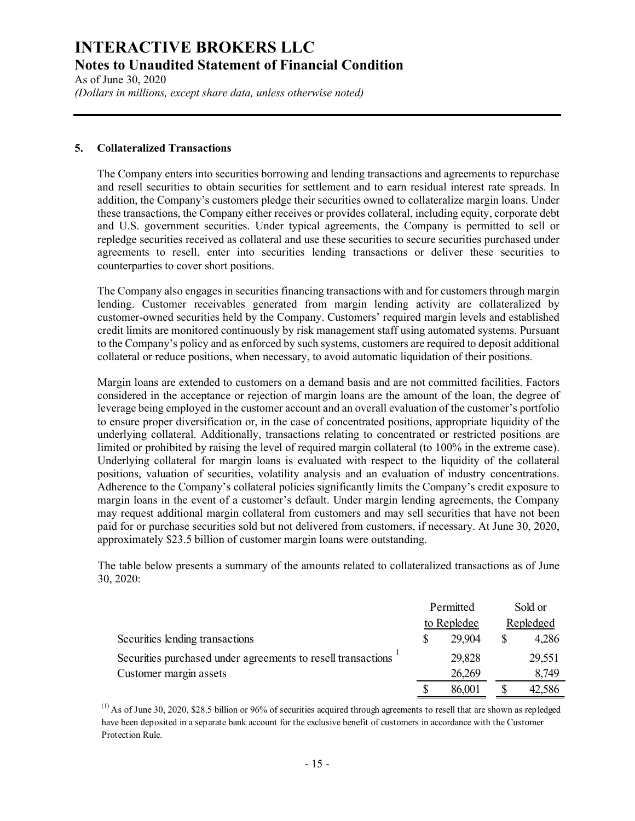As of June 30, 2020 (Dollars in millions, except share data, unless otherwise noted)

#### 5. Collateralized Transactions

The Company enters into securities borrowing and lending transactions and agreements to repurchase and resell securities to obtain securities for settlement and to earn residual interest rate spreads. In addition, the Company's customers pledge their securities owned to collateralize margin loans. Under these transactions, the Company either receives or provides collateral, including equity, corporate debt and U.S. government securities. Under typical agreements, the Company is permitted to sell or repledge securities received as collateral and use these securities to secure securities purchased under agreements to resell, enter into securities lending transactions or deliver these securities to counterparties to cover short positions.

The Company also engages in securities financing transactions with and for customers through margin lending. Customer receivables generated from margin lending activity are collateralized by customer-owned securities held by the Company. Customers' required margin levels and established credit limits are monitored continuously by risk management staff using automated systems. Pursuant to the Company's policy and as enforced by such systems, customers are required to deposit additional collateral or reduce positions, when necessary, to avoid automatic liquidation of their positions.

Margin loans are extended to customers on a demand basis and are not committed facilities. Factors considered in the acceptance or rejection of margin loans are the amount of the loan, the degree of leverage being employed in the customer account and an overall evaluation of the customer's portfolio to ensure proper diversification or, in the case of concentrated positions, appropriate liquidity of the underlying collateral. Additionally, transactions relating to concentrated or restricted positions are limited or prohibited by raising the level of required margin collateral (to 100% in the extreme case). Underlying collateral for margin loans is evaluated with respect to the liquidity of the collateral positions, valuation of securities, volatility analysis and an evaluation of industry concentrations. Adherence to the Company's collateral policies significantly limits the Company's credit exposure to margin loans in the event of a customer's default. Under margin lending agreements, the Company may request additional margin collateral from customers and may sell securities that have not been paid for or purchase securities sold but not delivered from customers, if necessary. At June 30, 2020, approximately \$23.5 billion of customer margin loans were outstanding. required to deposit additional<br>tion of their positions.<br>committed facilities. Factors<br>to of the loan, the degree of<br>n of the customer's portfolio<br>dor restricted positions are<br> $\frac{100\% \text{ in the extreme case}}{100\% \text{ in the extreme case}}$ <br>e liquidity of gin loans are extended to customers on a demand basis and are not committed facilities. Factors<br>identified in the acceptance or rejection of margin loans are the amount of the loan, the degree of<br>range being employed in t Experiment the customer account and an overall evaluation of the eustomer's portfolion<br>stare proper diversification or, in the case of concentrated positions, appropriate liquidity of the<br>relying collateral. Additionally,

The table below presents a summary of the amounts related to collateralized transactions as of June 30, 2020:

|                                                              | Permitted   | Sold or     |
|--------------------------------------------------------------|-------------|-------------|
|                                                              | to Repledge | Repledged   |
| Securities lending transactions                              | 29,904      | \$<br>4,286 |
| Securities purchased under agreements to resell transactions | 29,828      | 29,551      |
| Customer margin assets                                       | 26,269      | 8,749       |
|                                                              | 86.001      | 42.586      |

 $^{(1)}$  As of June 30, 2020, \$28.5 billion or 96% of securities acquired through agreements to resell that are shown as repledged have been deposited in a separate bank account for the exclusive benefit of customers in accordance with the Customer Protection Rule.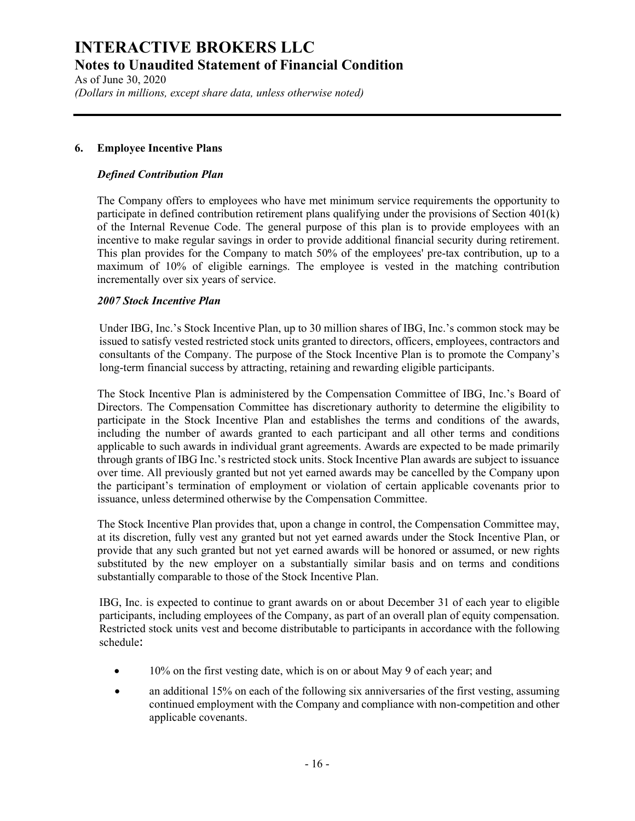As of June 30, 2020 (Dollars in millions, except share data, unless otherwise noted)

### 6. Employee Incentive Plans

### Defined Contribution Plan

The Company offers to employees who have met minimum service requirements the opportunity to participate in defined contribution retirement plans qualifying under the provisions of Section 401(k) of the Internal Revenue Code. The general purpose of this plan is to provide employees with an incentive to make regular savings in order to provide additional financial security during retirement. This plan provides for the Company to match 50% of the employees' pre-tax contribution, up to a maximum of 10% of eligible earnings. The employee is vested in the matching contribution incrementally over six years of service.

### 2007 Stock Incentive Plan

Under IBG, Inc.'s Stock Incentive Plan, up to 30 million shares of IBG, Inc.'s common stock may be issued to satisfy vested restricted stock units granted to directors, officers, employees, contractors and consultants of the Company. The purpose of the Stock Incentive Plan is to promote the Company's long-term financial success by attracting, retaining and rewarding eligible participants.

The Stock Incentive Plan is administered by the Compensation Committee of IBG, Inc.'s Board of Directors. The Compensation Committee has discretionary authority to determine the eligibility to participate in the Stock Incentive Plan and establishes the terms and conditions of the awards, including the number of awards granted to each participant and all other terms and conditions applicable to such awards in individual grant agreements. Awards are expected to be made primarily through grants of IBG Inc.'s restricted stock units. Stock Incentive Plan awards are subject to issuance over time. All previously granted but not yet earned awards may be cancelled by the Company upon the participant's termination of employment or violation of certain applicable covenants prior to issuance, unless determined otherwise by the Compensation Committee.

The Stock Incentive Plan provides that, upon a change in control, the Compensation Committee may, at its discretion, fully vest any granted but not yet earned awards under the Stock Incentive Plan, or provide that any such granted but not yet earned awards will be honored or assumed, or new rights substituted by the new employer on a substantially similar basis and on terms and conditions substantially comparable to those of the Stock Incentive Plan.

IBG, Inc. is expected to continue to grant awards on or about December 31 of each year to eligible participants, including employees of the Company, as part of an overall plan of equity compensation. Restricted stock units vest and become distributable to participants in accordance with the following schedule:

- 10% on the first vesting date, which is on or about May 9 of each year; and
- an additional 15% on each of the following six anniversaries of the first vesting, assuming continued employment with the Company and compliance with non-competition and other applicable covenants.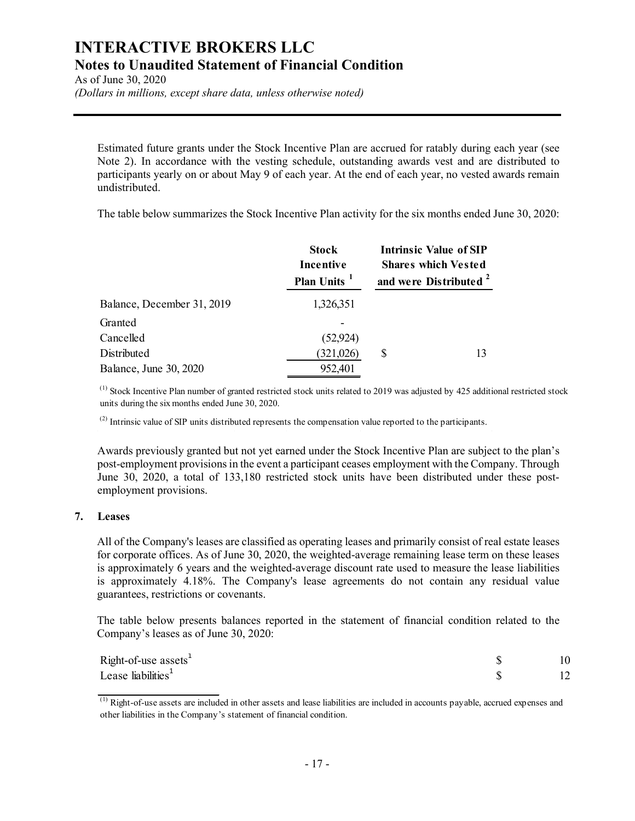As of June 30, 2020

(Dollars in millions, except share data, unless otherwise noted)

| <b>TERACTIVE BROKERS LLC</b><br>es to Unaudited Statement of Financial Condition<br>f June 30, 2020<br>ars in millions, except share data, unless otherwise noted)                                                                                                                                                                 |                                                      |                                                                                                  |  |
|------------------------------------------------------------------------------------------------------------------------------------------------------------------------------------------------------------------------------------------------------------------------------------------------------------------------------------|------------------------------------------------------|--------------------------------------------------------------------------------------------------|--|
| Estimated future grants under the Stock Incentive Plan are accrued for ratably during each year (see<br>Note 2). In accordance with the vesting schedule, outstanding awards vest and are distributed to<br>participants yearly on or about May 9 of each year. At the end of each year, no vested awards remain<br>undistributed. |                                                      |                                                                                                  |  |
| The table below summarizes the Stock Incentive Plan activity for the six months ended June 30, 2020:                                                                                                                                                                                                                               |                                                      |                                                                                                  |  |
|                                                                                                                                                                                                                                                                                                                                    | <b>Stock</b><br>Incentive<br>Plan Units <sup>1</sup> | <b>Intrinsic Value of SIP</b><br><b>Shares which Vested</b><br>and were Distributed <sup>2</sup> |  |
| Balance, December 31, 2019                                                                                                                                                                                                                                                                                                         | 1,326,351                                            |                                                                                                  |  |
| Granted<br>Cancelled                                                                                                                                                                                                                                                                                                               | (52, 924)                                            |                                                                                                  |  |
| Distributed<br>Balance, June 30, 2020                                                                                                                                                                                                                                                                                              | (321, 026)<br>952,401                                | \$<br>13                                                                                         |  |
| $^{(1)}$ Stock Incentive Plan number of granted restricted stock units related to 2019 was adjusted by 425 additional restricted stock<br>units during the six months ended June 30, 2020.                                                                                                                                         |                                                      |                                                                                                  |  |
| <sup>(2)</sup> Intrinsic value of SIP units distributed represents the compensation value reported to the participants.                                                                                                                                                                                                            |                                                      |                                                                                                  |  |

Awards previously granted but not yet earned under the Stock Incentive Plan are subject to the plan's post-employment provisions in the event a participant ceases employment with the Company. Through June 30, 2020, a total of 133,180 restricted stock units have been distributed under these postemployment provisions.

### 7. Leases

All of the Company's leases are classified as operating leases and primarily consist of real estate leases for corporate offices. As of June 30, 2020, the weighted-average remaining lease term on these leases is approximately 6 years and the weighted-average discount rate used to measure the lease liabilities is approximately 4.18%. The Company's lease agreements do not contain any residual value guarantees, restrictions or covenants.

The table below presents balances reported in the statement of financial condition related to the Company's leases as of June 30, 2020:

| Right-of-use assets <sup>1</sup> | $\sim$ |
|----------------------------------|--------|
| Lease liabilities <sup>1</sup>   |        |

 $<sup>(1)</sup>$  Right-of-use assets are included in other assets and lease liabilities are included in accounts payable, accrued expenses and</sup> other liabilities in the Company's statement of financial condition.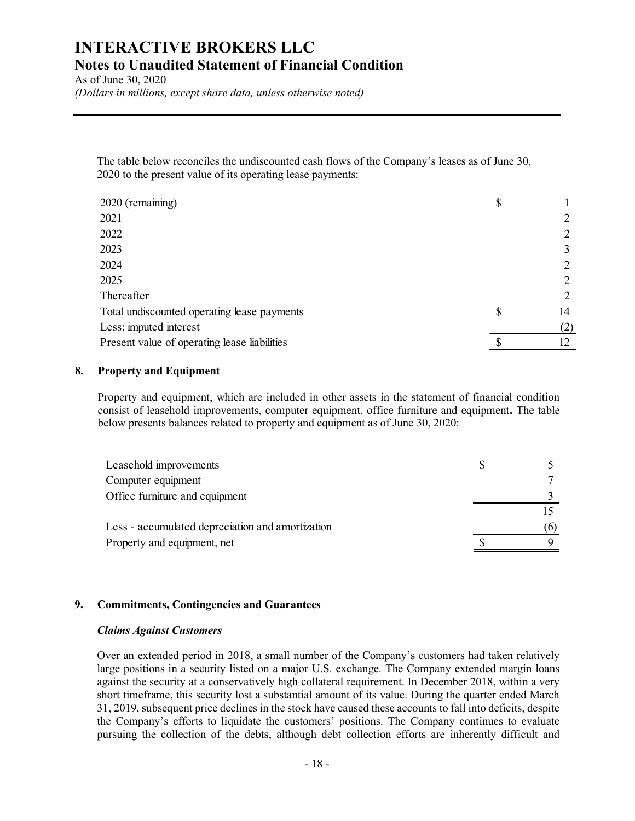As of June 30, 2020 (Dollars in millions, except share data, unless otherwise noted)

| <b>TERACTIVE BROKERS LLC</b>                                                                                                                                                                                                                                                             |               |                |
|------------------------------------------------------------------------------------------------------------------------------------------------------------------------------------------------------------------------------------------------------------------------------------------|---------------|----------------|
| es to Unaudited Statement of Financial Condition                                                                                                                                                                                                                                         |               |                |
| f June 30, 2020                                                                                                                                                                                                                                                                          |               |                |
| lars in millions, except share data, unless otherwise noted)                                                                                                                                                                                                                             |               |                |
|                                                                                                                                                                                                                                                                                          |               |                |
|                                                                                                                                                                                                                                                                                          |               |                |
|                                                                                                                                                                                                                                                                                          |               |                |
| The table below reconciles the undiscounted cash flows of the Company's leases as of June 30,                                                                                                                                                                                            |               |                |
| 2020 to the present value of its operating lease payments:                                                                                                                                                                                                                               |               |                |
| 2020 (remaining)                                                                                                                                                                                                                                                                         | \$            |                |
| 2021                                                                                                                                                                                                                                                                                     |               | $\overline{2}$ |
| 2022                                                                                                                                                                                                                                                                                     |               | 2              |
| 2023                                                                                                                                                                                                                                                                                     |               | 3              |
| 2024                                                                                                                                                                                                                                                                                     |               | 2              |
| 2025                                                                                                                                                                                                                                                                                     |               | 2              |
| Thereafter                                                                                                                                                                                                                                                                               |               | 2              |
| Total undiscounted operating lease payments                                                                                                                                                                                                                                              | <sup>\$</sup> | 14             |
| Less: imputed interest                                                                                                                                                                                                                                                                   |               | (2)            |
| Present value of operating lease liabilities                                                                                                                                                                                                                                             | $\mathbb{S}$  | 12             |
| <b>Property and Equipment</b>                                                                                                                                                                                                                                                            |               |                |
| Property and equipment, which are included in other assets in the statement of financial condition<br>consist of leasehold improvements, computer equipment, office furniture and equipment. The table<br>below presents balances related to property and equipment as of June 30, 2020: |               |                |
| Leasehold improvements                                                                                                                                                                                                                                                                   | \$            | 5              |
| Computer equipment                                                                                                                                                                                                                                                                       |               |                |
| Office furniture and equipment                                                                                                                                                                                                                                                           |               |                |
|                                                                                                                                                                                                                                                                                          |               | 15             |
| Less - accumulated depreciation and amortization                                                                                                                                                                                                                                         |               | (6)            |
| Property and equipment, net                                                                                                                                                                                                                                                              |               | 9              |
|                                                                                                                                                                                                                                                                                          |               |                |

### 8. Property and Equipment

| 024                                                                                                                                                                                                                                                                                   | $\overline{2}$ |  |
|---------------------------------------------------------------------------------------------------------------------------------------------------------------------------------------------------------------------------------------------------------------------------------------|----------------|--|
| 025                                                                                                                                                                                                                                                                                   |                |  |
| hereafter                                                                                                                                                                                                                                                                             |                |  |
| otal undiscounted operating lease payments                                                                                                                                                                                                                                            | \$<br>14       |  |
| ess: imputed interest                                                                                                                                                                                                                                                                 | (2)            |  |
| resent value of operating lease liabilities                                                                                                                                                                                                                                           | 12             |  |
| roperty and Equipment                                                                                                                                                                                                                                                                 |                |  |
| roperty and equipment, which are included in other assets in the statement of financial condition<br>onsist of leasehold improvements, computer equipment, office furniture and equipment. The table<br>elow presents balances related to property and equipment as of June 30, 2020: |                |  |
| Leasehold improvements                                                                                                                                                                                                                                                                | \$<br>5        |  |
| Computer equipment                                                                                                                                                                                                                                                                    |                |  |
| Office furniture and equipment                                                                                                                                                                                                                                                        |                |  |
|                                                                                                                                                                                                                                                                                       | 15             |  |
| Less - accumulated depreciation and amortization                                                                                                                                                                                                                                      | (6)            |  |
| Property and equipment, net                                                                                                                                                                                                                                                           | 9              |  |
|                                                                                                                                                                                                                                                                                       |                |  |
|                                                                                                                                                                                                                                                                                       |                |  |
|                                                                                                                                                                                                                                                                                       |                |  |
| ommitments, Contingencies and Guarantees                                                                                                                                                                                                                                              |                |  |

# 9. Commitments, Contingencies and Guarantees

### Claims Against Customers

Over an extended period in 2018, a small number of the Company's customers had taken relatively large positions in a security listed on a major U.S. exchange. The Company extended margin loans against the security at a conservatively high collateral requirement. In December 2018, within a very short timeframe, this security lost a substantial amount of its value. During the quarter ended March 31, 2019, subsequent price declines in the stock have caused these accounts to fall into deficits, despite the Company's efforts to liquidate the customers' positions. The Company continues to evaluate pursuing the collection of the debts, although debt collection efforts are inherently difficult and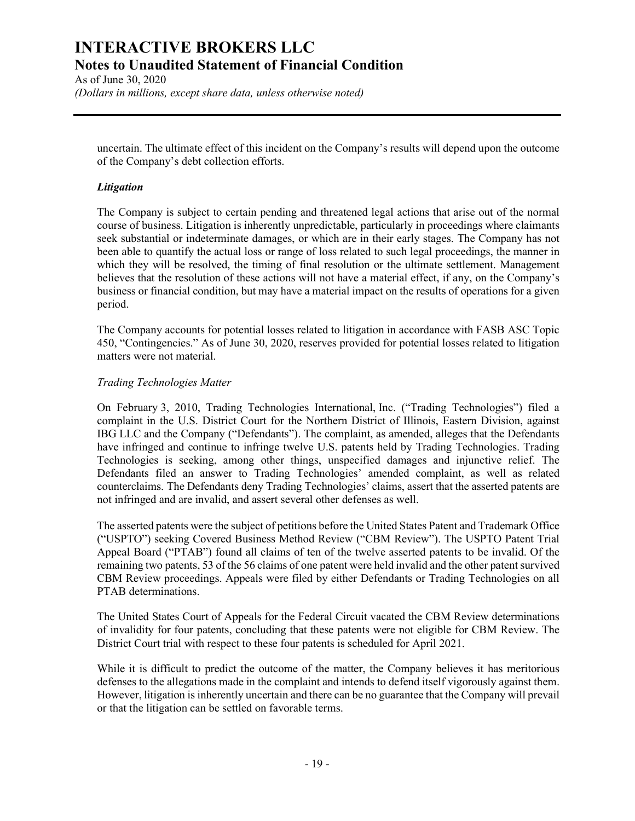As of June 30, 2020 (Dollars in millions, except share data, unless otherwise noted)

uncertain. The ultimate effect of this incident on the Company's results will depend upon the outcome of the Company's debt collection efforts.

### **Litigation**

The Company is subject to certain pending and threatened legal actions that arise out of the normal course of business. Litigation is inherently unpredictable, particularly in proceedings where claimants seek substantial or indeterminate damages, or which are in their early stages. The Company has not been able to quantify the actual loss or range of loss related to such legal proceedings, the manner in which they will be resolved, the timing of final resolution or the ultimate settlement. Management believes that the resolution of these actions will not have a material effect, if any, on the Company's business or financial condition, but may have a material impact on the results of operations for a given period.

The Company accounts for potential losses related to litigation in accordance with FASB ASC Topic 450, "Contingencies." As of June 30, 2020, reserves provided for potential losses related to litigation matters were not material.

### Trading Technologies Matter

On February 3, 2010, Trading Technologies International, Inc. ("Trading Technologies") filed a complaint in the U.S. District Court for the Northern District of Illinois, Eastern Division, against IBG LLC and the Company ("Defendants"). The complaint, as amended, alleges that the Defendants have infringed and continue to infringe twelve U.S. patents held by Trading Technologies. Trading Technologies is seeking, among other things, unspecified damages and injunctive relief. The Defendants filed an answer to Trading Technologies' amended complaint, as well as related counterclaims. The Defendants deny Trading Technologies' claims, assert that the asserted patents are not infringed and are invalid, and assert several other defenses as well.

The asserted patents were the subject of petitions before the United States Patent and Trademark Office ("USPTO") seeking Covered Business Method Review ("CBM Review"). The USPTO Patent Trial Appeal Board ("PTAB") found all claims of ten of the twelve asserted patents to be invalid. Of the remaining two patents, 53 of the 56 claims of one patent were held invalid and the other patent survived CBM Review proceedings. Appeals were filed by either Defendants or Trading Technologies on all PTAB determinations.

The United States Court of Appeals for the Federal Circuit vacated the CBM Review determinations of invalidity for four patents, concluding that these patents were not eligible for CBM Review. The District Court trial with respect to these four patents is scheduled for April 2021.

While it is difficult to predict the outcome of the matter, the Company believes it has meritorious defenses to the allegations made in the complaint and intends to defend itself vigorously against them. However, litigation is inherently uncertain and there can be no guarantee that the Company will prevail or that the litigation can be settled on favorable terms.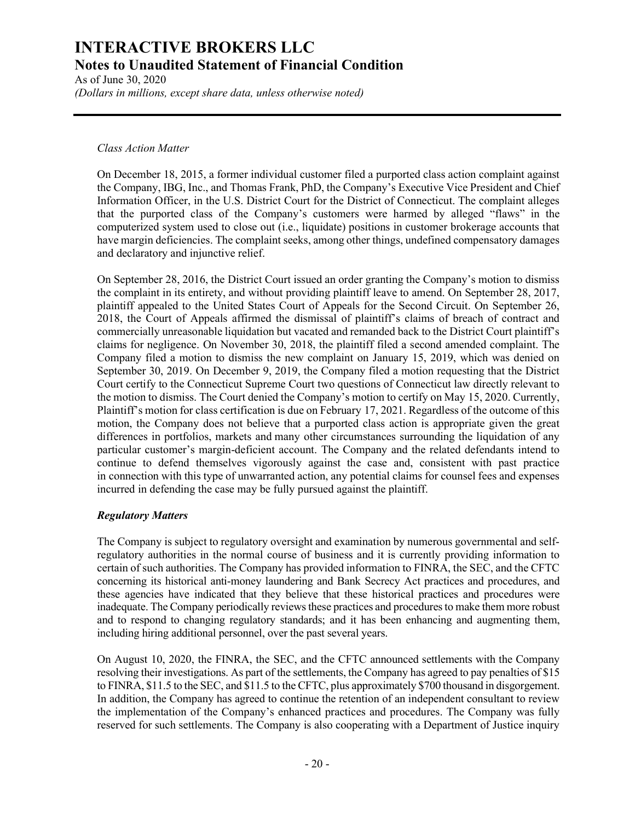As of June 30, 2020 (Dollars in millions, except share data, unless otherwise noted)

### Class Action Matter

On December 18, 2015, a former individual customer filed a purported class action complaint against the Company, IBG, Inc., and Thomas Frank, PhD, the Company's Executive Vice President and Chief Information Officer, in the U.S. District Court for the District of Connecticut. The complaint alleges that the purported class of the Company's customers were harmed by alleged "flaws" in the computerized system used to close out (i.e., liquidate) positions in customer brokerage accounts that have margin deficiencies. The complaint seeks, among other things, undefined compensatory damages and declaratory and injunctive relief.

On September 28, 2016, the District Court issued an order granting the Company's motion to dismiss the complaint in its entirety, and without providing plaintiff leave to amend. On September 28, 2017, plaintiff appealed to the United States Court of Appeals for the Second Circuit. On September 26, 2018, the Court of Appeals affirmed the dismissal of plaintiff's claims of breach of contract and commercially unreasonable liquidation but vacated and remanded back to the District Court plaintiff's claims for negligence. On November 30, 2018, the plaintiff filed a second amended complaint. The Company filed a motion to dismiss the new complaint on January 15, 2019, which was denied on September 30, 2019. On December 9, 2019, the Company filed a motion requesting that the District Court certify to the Connecticut Supreme Court two questions of Connecticut law directly relevant to the motion to dismiss. The Court denied the Company's motion to certify on May 15, 2020. Currently, Plaintiff's motion for class certification is due on February 17, 2021. Regardless of the outcome of this motion, the Company does not believe that a purported class action is appropriate given the great differences in portfolios, markets and many other circumstances surrounding the liquidation of any particular customer's margin-deficient account. The Company and the related defendants intend to continue to defend themselves vigorously against the case and, consistent with past practice in connection with this type of unwarranted action, any potential claims for counsel fees and expenses incurred in defending the case may be fully pursued against the plaintiff.

# Regulatory Matters

The Company is subject to regulatory oversight and examination by numerous governmental and selfregulatory authorities in the normal course of business and it is currently providing information to certain of such authorities. The Company has provided information to FINRA, the SEC, and the CFTC concerning its historical anti-money laundering and Bank Secrecy Act practices and procedures, and these agencies have indicated that they believe that these historical practices and procedures were inadequate. The Company periodically reviews these practices and procedures to make them more robust and to respond to changing regulatory standards; and it has been enhancing and augmenting them, including hiring additional personnel, over the past several years.

On August 10, 2020, the FINRA, the SEC, and the CFTC announced settlements with the Company resolving their investigations. As part of the settlements, the Company has agreed to pay penalties of \$15 to FINRA, \$11.5 to the SEC, and \$11.5 to the CFTC, plus approximately \$700 thousand in disgorgement. In addition, the Company has agreed to continue the retention of an independent consultant to review the implementation of the Company's enhanced practices and procedures. The Company was fully reserved for such settlements. The Company is also cooperating with a Department of Justice inquiry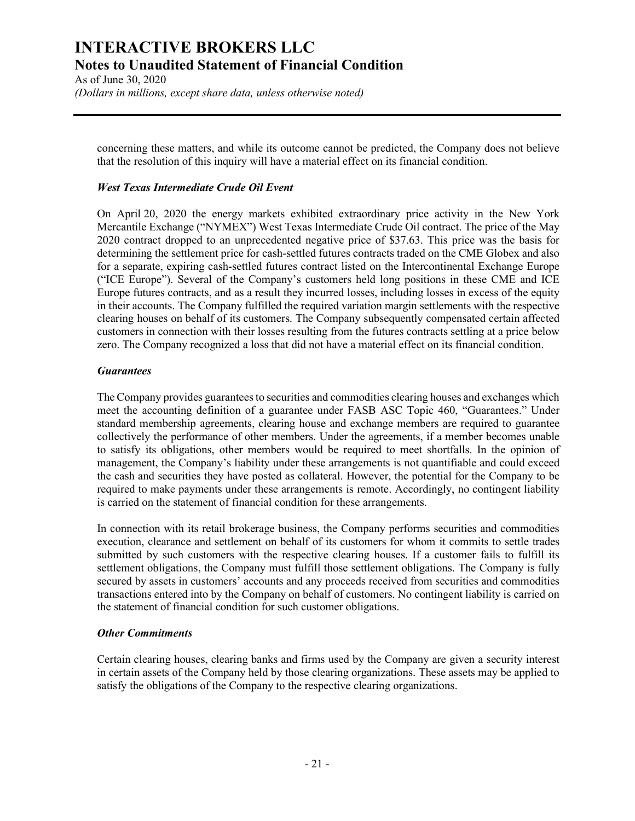As of June 30, 2020 (Dollars in millions, except share data, unless otherwise noted)

concerning these matters, and while its outcome cannot be predicted, the Company does not believe that the resolution of this inquiry will have a material effect on its financial condition.

## West Texas Intermediate Crude Oil Event

On April 20, 2020 the energy markets exhibited extraordinary price activity in the New York Mercantile Exchange ("NYMEX") West Texas Intermediate Crude Oil contract. The price of the May 2020 contract dropped to an unprecedented negative price of \$37.63. This price was the basis for determining the settlement price for cash-settled futures contracts traded on the CME Globex and also for a separate, expiring cash-settled futures contract listed on the Intercontinental Exchange Europe ("ICE Europe"). Several of the Company's customers held long positions in these CME and ICE Europe futures contracts, and as a result they incurred losses, including losses in excess of the equity in their accounts. The Company fulfilled the required variation margin settlements with the respective clearing houses on behalf of its customers. The Company subsequently compensated certain affected customers in connection with their losses resulting from the futures contracts settling at a price below zero. The Company recognized a loss that did not have a material effect on its financial condition.

### **Guarantees**

The Company provides guarantees to securities and commodities clearing houses and exchanges which meet the accounting definition of a guarantee under FASB ASC Topic 460, "Guarantees." Under standard membership agreements, clearing house and exchange members are required to guarantee collectively the performance of other members. Under the agreements, if a member becomes unable to satisfy its obligations, other members would be required to meet shortfalls. In the opinion of management, the Company's liability under these arrangements is not quantifiable and could exceed the cash and securities they have posted as collateral. However, the potential for the Company to be required to make payments under these arrangements is remote. Accordingly, no contingent liability is carried on the statement of financial condition for these arrangements.

In connection with its retail brokerage business, the Company performs securities and commodities execution, clearance and settlement on behalf of its customers for whom it commits to settle trades submitted by such customers with the respective clearing houses. If a customer fails to fulfill its settlement obligations, the Company must fulfill those settlement obligations. The Company is fully secured by assets in customers' accounts and any proceeds received from securities and commodities transactions entered into by the Company on behalf of customers. No contingent liability is carried on the statement of financial condition for such customer obligations.

### Other Commitments

Certain clearing houses, clearing banks and firms used by the Company are given a security interest in certain assets of the Company held by those clearing organizations. These assets may be applied to satisfy the obligations of the Company to the respective clearing organizations.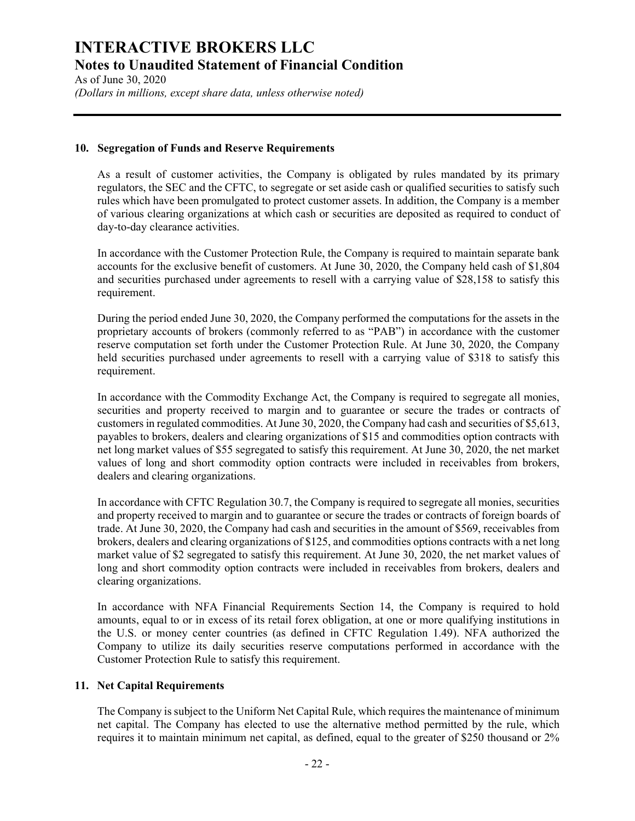As of June 30, 2020 (Dollars in millions, except share data, unless otherwise noted)

### 10. Segregation of Funds and Reserve Requirements

As a result of customer activities, the Company is obligated by rules mandated by its primary regulators, the SEC and the CFTC, to segregate or set aside cash or qualified securities to satisfy such rules which have been promulgated to protect customer assets. In addition, the Company is a member of various clearing organizations at which cash or securities are deposited as required to conduct of day-to-day clearance activities.

In accordance with the Customer Protection Rule, the Company is required to maintain separate bank accounts for the exclusive benefit of customers. At June 30, 2020, the Company held cash of \$1,804 and securities purchased under agreements to resell with a carrying value of \$28,158 to satisfy this requirement.

During the period ended June 30, 2020, the Company performed the computations for the assets in the proprietary accounts of brokers (commonly referred to as "PAB") in accordance with the customer reserve computation set forth under the Customer Protection Rule. At June 30, 2020, the Company held securities purchased under agreements to resell with a carrying value of \$318 to satisfy this requirement.

In accordance with the Commodity Exchange Act, the Company is required to segregate all monies, securities and property received to margin and to guarantee or secure the trades or contracts of customers in regulated commodities. At June 30, 2020, the Company had cash and securities of \$5,613, payables to brokers, dealers and clearing organizations of \$15 and commodities option contracts with net long market values of \$55 segregated to satisfy this requirement. At June 30, 2020, the net market values of long and short commodity option contracts were included in receivables from brokers, dealers and clearing organizations.

In accordance with CFTC Regulation 30.7, the Company is required to segregate all monies, securities and property received to margin and to guarantee or secure the trades or contracts of foreign boards of trade. At June 30, 2020, the Company had cash and securities in the amount of \$569, receivables from brokers, dealers and clearing organizations of \$125, and commodities options contracts with a net long market value of \$2 segregated to satisfy this requirement. At June 30, 2020, the net market values of long and short commodity option contracts were included in receivables from brokers, dealers and clearing organizations.

In accordance with NFA Financial Requirements Section 14, the Company is required to hold amounts, equal to or in excess of its retail forex obligation, at one or more qualifying institutions in the U.S. or money center countries (as defined in CFTC Regulation 1.49). NFA authorized the Company to utilize its daily securities reserve computations performed in accordance with the Customer Protection Rule to satisfy this requirement.

### 11. Net Capital Requirements

The Company is subject to the Uniform Net Capital Rule, which requires the maintenance of minimum net capital. The Company has elected to use the alternative method permitted by the rule, which requires it to maintain minimum net capital, as defined, equal to the greater of \$250 thousand or 2%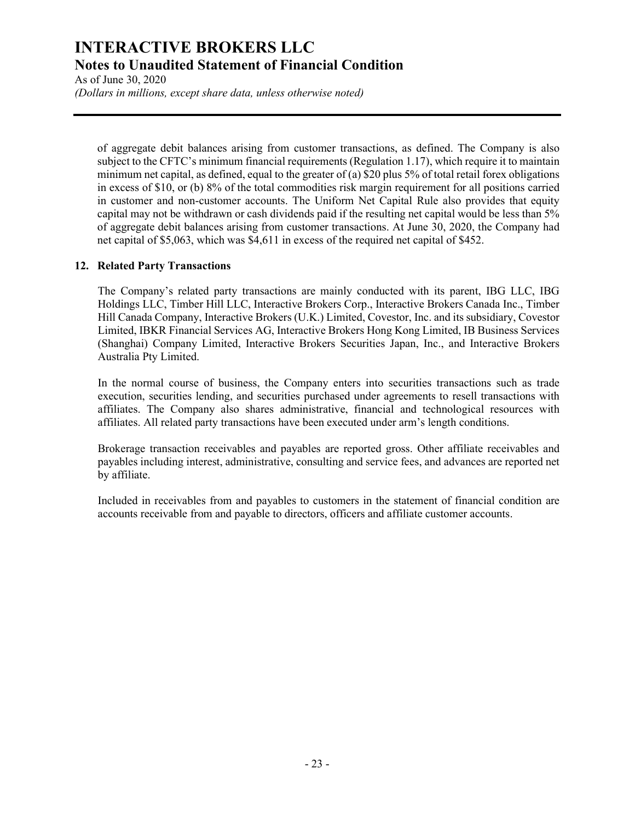As of June 30, 2020 (Dollars in millions, except share data, unless otherwise noted)

of aggregate debit balances arising from customer transactions, as defined. The Company is also subject to the CFTC's minimum financial requirements (Regulation 1.17), which require it to maintain minimum net capital, as defined, equal to the greater of (a) \$20 plus 5% of total retail forex obligations in excess of \$10, or (b) 8% of the total commodities risk margin requirement for all positions carried in customer and non-customer accounts. The Uniform Net Capital Rule also provides that equity capital may not be withdrawn or cash dividends paid if the resulting net capital would be less than 5% of aggregate debit balances arising from customer transactions. At June 30, 2020, the Company had net capital of \$5,063, which was \$4,611 in excess of the required net capital of \$452.

# 12. Related Party Transactions

The Company's related party transactions are mainly conducted with its parent, IBG LLC, IBG Holdings LLC, Timber Hill LLC, Interactive Brokers Corp., Interactive Brokers Canada Inc., Timber Hill Canada Company, Interactive Brokers (U.K.) Limited, Covestor, Inc. and its subsidiary, Covestor Limited, IBKR Financial Services AG, Interactive Brokers Hong Kong Limited, IB Business Services (Shanghai) Company Limited, Interactive Brokers Securities Japan, Inc., and Interactive Brokers Australia Pty Limited.

In the normal course of business, the Company enters into securities transactions such as trade execution, securities lending, and securities purchased under agreements to resell transactions with affiliates. The Company also shares administrative, financial and technological resources with affiliates. All related party transactions have been executed under arm's length conditions.

Brokerage transaction receivables and payables are reported gross. Other affiliate receivables and payables including interest, administrative, consulting and service fees, and advances are reported net by affiliate.

Included in receivables from and payables to customers in the statement of financial condition are accounts receivable from and payable to directors, officers and affiliate customer accounts.